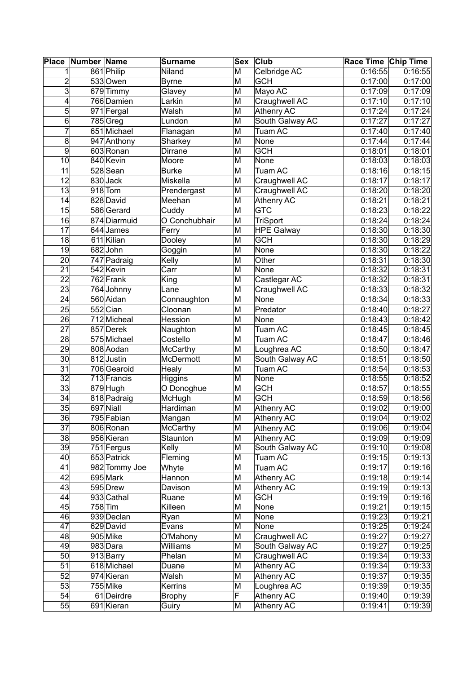| Place           | Number Name |                         | <b>Surname</b>  |   | Sex Club          | Race Time Chip Time |         |
|-----------------|-------------|-------------------------|-----------------|---|-------------------|---------------------|---------|
| 1               |             | 861 Philip              | Niland          | M | Celbridge AC      | 0:16:55             | 0:16:55 |
| $\overline{2}$  |             | 533 Owen                | <b>Byrne</b>    | M | <b>GCH</b>        | 0:17:00             | 0:17:00 |
| 3               |             | 679 Timmy               | Glavey          | M | Mayo AC           | 0:17:09             | 0:17:09 |
| 4               |             | 766 Damien              | Larkin          | M | Craughwell AC     | 0:17:10             | 0:17:10 |
| 5               |             | 971 Fergal              | Walsh           | M | Athenry AC        | 0:17:24             | 0:17:24 |
| 6               |             | 785 Greg                | Lundon          | M | South Galway AC   | 0:17:27             | 0:17:27 |
| $\overline{7}$  |             | 651 Michael             | Flanagan        | M | <b>Tuam AC</b>    | 0:17:40             | 0:17:40 |
| 8               |             | 947 Anthony             | Sharkey         | M | None              | 0:17:44             | 0:17:44 |
| 9               |             | 603 Ronan               | Dirrane         | M | <b>GCH</b>        | 0:18:01             | 0:18:01 |
| 10              |             | 840 Kevin               | Moore           | M | None              | 0:18:03             | 0:18:03 |
| $\overline{11}$ |             | 528 Sean                | <b>Burke</b>    | M | <b>Tuam AC</b>    | 0:18:16             | 0:18:15 |
| $\overline{12}$ |             | 830 Jack                | Miskella        | M | Craughwell AC     | 0:18:17             | 0:18:17 |
| 13              |             | $918$ Tom               |                 | M | Craughwell AC     | 0:18:20             | 0:18:20 |
| 14              |             | 828 David               | Prendergast     |   |                   | 0:18:21             | 0:18:21 |
|                 |             |                         | Meehan          | M | Athenry AC        |                     |         |
| 15              |             | 586 Gerard              | Cuddy           | M | <b>GTC</b>        | 0:18:23             | 0:18:22 |
| 16              |             | 874 Diarmuid            | O Conchubhair   | M | <b>TriSport</b>   | 0:18:24             | 0:18:24 |
| $\overline{17}$ |             | 644 James               | Ferry           | M | <b>HPE Galway</b> | 0:18:30             | 0:18:30 |
| 18              |             | 611 Kilian              | Dooley          | M | <b>GCH</b>        | 0:18:30             | 0:18:29 |
| 19              |             | 682John                 | Goggin          | M | None              | 0:18:30             | 0:18:22 |
| 20              |             | 747 Padraig             | Kelly           | M | Other             | 0:18:31             | 0:18:30 |
| 21              |             | 542 Kevin               | Carr            | M | None              | 0:18:32             | 0:18:31 |
| $\overline{22}$ |             | 762 Frank               | King            | M | Castlegar AC      | 0:18:32             | 0:18:31 |
| $\overline{23}$ |             | 764 Johnny              | Lane            | M | Craughwell AC     | 0:18:33             | 0:18:32 |
| 24              |             | 560 Aidan               | Connaughton     | M | None              | 0:18:34             | 0:18:33 |
| 25              |             | 552 Cian                | Cloonan         | M | Predator          | 0:18:40             | 0:18:27 |
| 26              |             | 712 Micheal             | Hession         | M | None              | 0:18:43             | 0:18:42 |
| $\overline{27}$ |             | 857 Derek               | Naughton        | M | Tuam AC           | 0:18:45             | 0:18:45 |
| $\overline{28}$ |             | 575 Michael             | Costello        | M | <b>Tuam AC</b>    | 0:18:47             | 0:18:46 |
| 29              |             | 808 Aodan               | <b>McCarthy</b> | M | Loughrea AC       | 0:18:50             | 0:18:47 |
| 30              |             | 812 Justin              | McDermott       | M | South Galway AC   | 0:18:51             | 0:18:50 |
| 31              |             | 706 Gearoid             | Healy           | M | <b>Tuam AC</b>    | 0:18:54             | 0:18:53 |
| 32              |             | 713 Francis             | Higgins         | M | None              | 0:18:55             | 0:18:52 |
| $\overline{33}$ |             | $\overline{87}9$ Hugh   | O Donoghue      | M | <b>GCH</b>        | 0:18:57             | 0:18:55 |
| 34              |             | 818 Padraig             | McHugh          | M | <b>GCH</b>        | 0:18:59             | 0:18:56 |
| 35              |             | $\overline{697}$ Niall  | Hardiman        | M | Athenry AC        | 0:19:02             | 0:19:00 |
| 36              |             | 795 Fabian              | Mangan          | M | Athenry AC        | 0:19:04             | 0:19:02 |
| 37              |             | 806 Ronan               | <b>McCarthy</b> | M | Athenry AC        | 0:19:06             | 0:19:04 |
| 38              |             | 956 Kieran              | Staunton        | M | Athenry AC        | 0:19:09             | 0:19:09 |
| 39              |             | 751 Fergus              | Kelly           | M | South Galway AC   | 0:19:10             | 0:19:08 |
| 40              |             | 653 Patrick             | Fleming         | M | Tuam AC           | 0:19:15             | 0:19:13 |
| 41              |             | 982 Tommy Joe           | Whyte           | M | Tuam AC           | 0:19:17             | 0:19:16 |
| 42              |             | 695 Mark                | Hannon          | M | Athenry AC        | 0:19:18             | 0:19:14 |
| 43              |             | 595 Drew                | Davison         | M | Athenry AC        | 0:19:19             | 0:19:13 |
| 44              |             |                         |                 |   | <b>GCH</b>        |                     |         |
| 45              |             | 933 Cathal<br>$758$ Tim | Ruane           | M |                   | 0:19:19             | 0:19:16 |
| 46              |             | 939 Declan              | Killeen         | M | None<br>None      | 0:19:21             | 0:19:15 |
| 47              |             |                         | Ryan            | M |                   | 0:19:23             | 0:19:21 |
|                 |             | 629 David               | Evans           | M | None              | 0:19:25             | 0:19:24 |
| 48              |             | 905 Mike                | O'Mahony        | M | Craughwell AC     | 0:19:27             | 0:19:27 |
| 49              |             | 983Dara                 | Williams        | M | South Galway AC   | 0:19:27             | 0:19:25 |
| 50              |             | 913 Barry               | Phelan          | M | Craughwell AC     | 0:19:34             | 0:19:33 |
| 51              |             | 618 Michael             | Duane           | M | Athenry AC        | 0:19:34             | 0:19:33 |
| 52              |             | 974 Kieran              | Walsh           | M | Athenry AC        | 0:19:37             | 0:19:35 |
| 53              |             | 755 Mike                | Kerrins         | M | Loughrea AC       | 0:19:39             | 0:19:35 |
| 54              |             | 61 Deirdre              | <b>Brophy</b>   | F | <b>Athenry AC</b> | 0:19:40             | 0:19:39 |
| 55              |             | 691 Kieran              | Guiry           | M | Athenry AC        | 0:19:41             | 0:19:39 |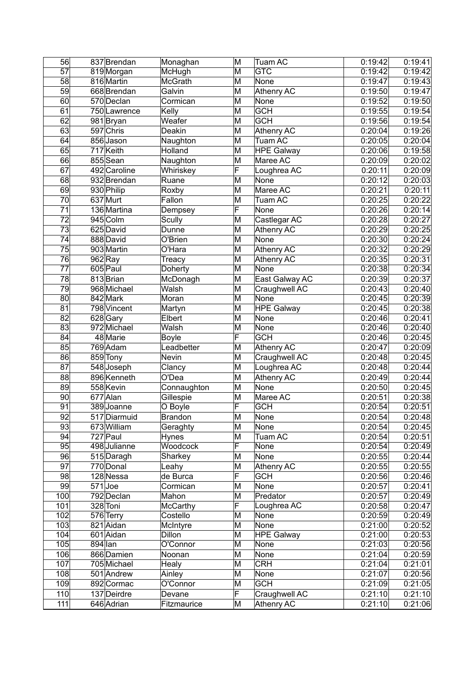| 56              | 837 Brendan  | Monaghan        | M                       | <b>Tuam AC</b>    | 0:19:42 | 0:19:41 |
|-----------------|--------------|-----------------|-------------------------|-------------------|---------|---------|
| $\overline{57}$ | 819Morgan    | McHugh          | M                       | <b>GTC</b>        | 0:19:42 | 0:19:42 |
| 58              | 816 Martin   | McGrath         | M                       | None              | 0:19:47 | 0:19:43 |
| 59              | 668 Brendan  | Galvin          | M                       | <b>Athenry AC</b> | 0:19:50 | 0:19:47 |
| 60              | 570 Declan   | Cormican        | M                       | None              | 0:19:52 | 0:19:50 |
| 61              | 750 Lawrence | Kelly           | M                       | <b>GCH</b>        | 0:19:55 | 0:19:54 |
| 62              | 981 Bryan    | Weafer          | M                       | <b>GCH</b>        | 0:19:56 | 0:19:54 |
| 63              | 597 Chris    | Deakin          | M                       | <b>Athenry AC</b> | 0:20:04 | 0:19:26 |
| 64              | 856 Jason    | Naughton        | M                       | Tuam AC           | 0:20:05 | 0:20:04 |
| 65              | 717 Keith    | Holland         | M                       | <b>HPE Galway</b> | 0:20:06 | 0:19:58 |
| 66              | 855 Sean     | Naughton        | M                       | Maree AC          | 0:20:09 | 0:20:02 |
| 67              | 492 Caroline | Whiriskey       | F                       | Loughrea AC       | 0:20:11 | 0:20:09 |
| 68              | 932 Brendan  | Ruane           | M                       | None              | 0:20:12 | 0:20:03 |
| 69              |              |                 | M                       | Maree AC          |         | 0:20:11 |
|                 | 930 Philip   | Roxby           |                         |                   | 0:20:21 |         |
| 70              | 637 Murt     | Fallon          | M<br>F                  | Tuam AC           | 0:20:25 | 0:20:22 |
| $\overline{71}$ | 136 Martina  | Dempsey         |                         | None              | 0:20:26 | 0:20:14 |
| 72              | 945 Colm     | Scully          | M                       | Castlegar AC      | 0:20:28 | 0:20:27 |
| $\overline{73}$ | 625 David    | Dunne           | M                       | Athenry AC        | 0:20:29 | 0:20:25 |
| $\overline{74}$ | 888 David    | O'Brien         | $\overline{\mathsf{M}}$ | None              | 0:20:30 | 0:20:24 |
| 75              | 903 Martin   | O'Hara          | M                       | Athenry AC        | 0:20:32 | 0:20:29 |
| 76              | $962$ Ray    | Treacy          | M                       | Athenry AC        | 0:20:35 | 0:20:31 |
| $\overline{77}$ | 605 Paul     | Doherty         | M                       | None              | 0:20:38 | 0:20:34 |
| 78              | 813 Brian    | McDonagh        | M                       | East Galway AC    | 0:20:39 | 0:20:37 |
| 79              | 968 Michael  | Walsh           | M                       | Craughwell AC     | 0:20:43 | 0:20:40 |
| 80              | 842 Mark     | Moran           | M                       | None              | 0:20:45 | 0:20:39 |
| 81              | 798 Vincent  | Martyn          | M                       | <b>HPE Galway</b> | 0:20:45 | 0:20:38 |
| 82              | 628 Gary     | Elbert          | M                       | None              | 0:20:46 | 0:20:41 |
| 83              | 972 Michael  | Walsh           | M                       | None              | 0:20:46 | 0:20:40 |
| 84              | 48 Marie     | <b>Boyle</b>    | F                       | <b>GCH</b>        | 0:20:46 | 0:20:45 |
| 85              | 769 Adam     | Leadbetter      | M                       | Athenry AC        | 0:20:47 | 0:20:09 |
| 86              | 859 Tony     | Nevin           | M                       | Craughwell AC     | 0:20:48 | 0:20:45 |
| 87              | 548 Joseph   | Clancy          | M                       | Loughrea AC       | 0:20:48 | 0:20:44 |
| 88              | 896 Kenneth  | O'Dea           | M                       | <b>Athenry AC</b> | 0:20:49 | 0:20:44 |
| 89              | 558 Kevin    | Connaughton     | M                       | None              | 0:20:50 | 0:20:45 |
| 90              | 677 Alan     | Gillespie       | M                       | Maree AC          | 0:20:51 | 0:20:38 |
| $\overline{91}$ | 389 Joanne   | O Boyle         | F                       | <b>GCH</b>        | 0:20:54 | 0:20:51 |
| $\overline{92}$ | 517 Diarmuid | Brandon         | $\overline{\mathsf{M}}$ | None              | 0:20:54 | 0:20:48 |
| 93              | 673 William  | Geraghty        | M                       | None              | 0:20:54 | 0:20:45 |
| 94              | 727 Paul     | <b>Hynes</b>    | M                       | Tuam AC           | 0:20:54 | 0:20:51 |
| 95              | 498 Julianne | <b>Woodcock</b> | F                       | None              | 0:20:54 | 0:20:49 |
| 96              | 515 Daragh   | Sharkey         | M                       | None              | 0:20:55 | 0:20:44 |
| 97              | 770 Donal    | Leahy           | M                       | Athenry AC        | 0:20:55 | 0:20:55 |
| 98              | 128 Nessa    | de Burca        | F                       | <b>GCH</b>        | 0:20:56 | 0:20:46 |
| 99              | $571$ Joe    | Cormican        | M                       | None              | 0:20:57 | 0:20:41 |
| 100             | 792 Declan   | Mahon           | M                       | Predator          | 0:20:57 | 0:20:49 |
| 101             | 328 Toni     | <b>McCarthy</b> | F                       | Loughrea AC       | 0:20:58 | 0:20:47 |
| 102             | 576 Terry    | Costello        | M                       | None              | 0:20:59 | 0:20:49 |
| 103             | 821 Aidan    | McIntyre        | M                       | None              | 0:21:00 | 0:20:52 |
| 104             | 601 Aidan    | <b>Dillon</b>   | M                       | <b>HPE Galway</b> | 0:21:00 | 0:20:53 |
| 105             | 894 lan      | O'Connor        | M                       | None              | 0:21:03 | 0:20:56 |
| 106             | 866 Damien   | Noonan          | M                       | None              | 0:21:04 | 0:20:59 |
| 107             | 705 Michael  | Healy           | M                       | <b>CRH</b>        | 0:21:04 | 0:21:01 |
| 108             | 501 Andrew   | Ainley          | M                       | None              |         |         |
|                 |              |                 |                         | <b>GCH</b>        | 0:21:07 | 0:20:56 |
| 109             | 892 Cormac   | O'Connor        | M<br>F                  |                   | 0:21:09 | 0:21:05 |
| 110             | 137 Deirdre  | Devane          |                         | Craughwell AC     | 0:21:10 | 0:21:10 |
| 111             | 646 Adrian   | Fitzmaurice     | M                       | Athenry AC        | 0:21:10 | 0:21:06 |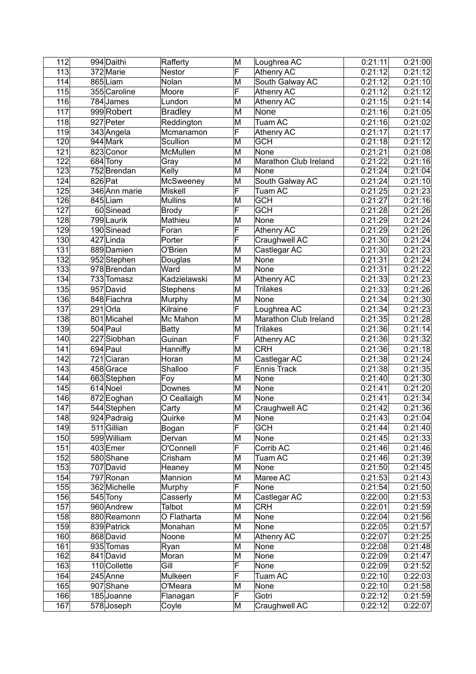| 112              | 994 Daithi    | Rafferty       | M                       | Loughrea AC           | 0:21:11            | 0:21:00 |
|------------------|---------------|----------------|-------------------------|-----------------------|--------------------|---------|
| 113              | 372 Marie     | <b>Nestor</b>  | $\overline{\mathsf{F}}$ | <b>Athenry AC</b>     | 0:21:12            | 0:21:12 |
| 114              | 865 Liam      | Nolan          | M                       | South Galway AC       | 0:21:12            | 0:21:10 |
| 115              | 355 Caroline  | Moore          | F                       | Athenry AC            | 0:21:12            | 0:21:12 |
| 116              | 784 James     | Lundon         | M                       | <b>Athenry AC</b>     | 0:21:15            | 0:21:14 |
| 117              | 999 Robert    | <b>Bradley</b> | M                       | None                  | 0:21:16            | 0:21:05 |
| 118              | 927 Peter     | Reddington     | M                       | Tuam AC               | 0:21:16            | 0:21:02 |
| 119              | 343 Angela    | Mcmanamon      | F                       | Athenry AC            | 0:21:17            | 0:21:17 |
| 120              | 944 Mark      | Scullion       | M                       | <b>GCH</b>            | 0:21:18            | 0:21:12 |
| 121              | 823 Conor     | McMullen       | M                       | None                  | 0:21:21            | 0:21:08 |
| 122              | 684 Tony      | Gray           | M                       | Marathon Club Ireland | 0:21:22            | 0:21:16 |
| $\overline{123}$ | 752 Brendan   | Kelly          | M                       | None                  | 0:21:24            | 0:21:04 |
| 124              | $826$ Pat     | McSweeney      | M                       | South Galway AC       | 0:21:24            | 0:21:10 |
| 125              | 346 Ann marie | <b>Miskell</b> | F                       | Tuam AC               | 0:21:25            | 0:21:23 |
| 126              | 845 Liam      | <b>Mullins</b> | M                       | <b>GCH</b>            | 0:21:27            | 0:21:16 |
| 127              | 60 Sinead     |                | F                       | <b>GCH</b>            | 0:21:28            | 0:21:26 |
|                  |               | <b>Brody</b>   |                         |                       |                    |         |
| 128              | 799 Laurik    | Mathieu        | M<br>F                  | None                  | 0:21:29            | 0:21:24 |
| 129              | 190 Sinead    | Foran          |                         | Athenry AC            | 0:21:29            | 0:21:26 |
| 130              | 427 Linda     | Porter         | F                       | Craughwell AC         | 0:21:30            | 0:21:24 |
| 131              | 889 Damien    | O'Brien        | M                       | Castlegar AC          | 0:21:30            | 0:21:23 |
| 132              | 952 Stephen   | Douglas        | M                       | None                  | 0:21:31            | 0:21:24 |
| 133              | 978 Brendan   | Ward           | M                       | None                  | 0:21:31            | 0:21:22 |
| 134              | 733 Tomasz    | Kadzielawski   | M                       | Athenry AC            | 0:21:33            | 0:21:23 |
| 135              | 957 David     | Stephens       | M                       | <b>Trilakes</b>       | 0:21:33            | 0:21:26 |
| 136              | 848 Fiachra   | Murphy         | M                       | None                  | 0:21:34            | 0:21:30 |
| 137              | $291$ Orla    | Kilraine       | F                       | Loughrea AC           | 0:21:34            | 0:21:23 |
| 138              | 801 Micahel   | Mc Mahon       | M                       | Marathon Club Ireland | 0:21:35            | 0:21:28 |
| 139              | 504 Paul      | Batty          | M                       | <b>Trilakes</b>       | 0:21:36            | 0:21:14 |
| 140              | 227 Siobhan   | Guinan         | F                       | Athenry AC            | 0:21:36            | 0:21:32 |
| 141              | 694 Paul      | Hanniffy       | M                       | <b>CRH</b>            | 0:21:36            | 0:21:18 |
| 142              | 721 Ciaran    | Horan          | M                       | Castlegar AC          | 0:21:38            | 0:21:24 |
| 143              | 458 Grace     | Shalloo        | F                       | <b>Ennis Track</b>    | 0:21:38            | 0:21:35 |
| 144              | 663 Stephen   | Foy            | M                       | None                  | 0:21:40            | 0:21:30 |
| 145              | 614 Noel      | Downes         | M                       | None                  | 0:21:41            | 0:21:20 |
| 146              | 872 Eoghan    | O Ceallaigh    | M                       | None                  | 0:21:41            | 0:21:34 |
| 147              | 544 Stephen   | Carty          | M                       | Craughwell AC         | 0:21:42            | 0:21:36 |
| 148              | 924 Padraig   | Quirke         | $\overline{\mathsf{M}}$ | None                  | 0:21:43            | 0:21:04 |
| 149              | 511 Gillian   | Bogan          | F                       | <b>GCH</b>            | 0:21:44            | 0:21:40 |
| 150              | 599 William   | Dervan         | M                       | None                  | 0:21:45            | 0:21:33 |
| 151              | 403 Emer      | O'Connell      | $\overline{\mathsf{F}}$ | Corrib AC             | 0:21:46            | 0:21:46 |
| 152              | 580 Shane     | Crisham        | M                       | Tuam AC               | 0:21:46            | 0:21:39 |
| 153              | 707 David     | Heaney         | M                       | None                  | 0:21:50            | 0:21:45 |
| 154              | 797 Ronan     | Mannion        | M                       | Maree AC              | 0:21:53            | 0:21:43 |
| 155              | 362 Michelle  | Murphy         | F                       | <b>None</b>           | 0:21:54            | 0:21:50 |
| 156              | 545 Tony      | Casserly       | M                       | Castlegar AC          | 0:22:00            | 0:21:53 |
| 157              | 960 Andrew    | Talbot         | M                       | <b>CRH</b>            | 0:22:01            | 0:21:59 |
| 158              | 880 Reamonn   | O Flatharta    | M                       | None                  | 0:22:04            | 0:21:56 |
| 159              |               |                | M                       |                       | 0:22:05            | 0:21:57 |
|                  | 839 Patrick   | Monahan        |                         | None                  |                    |         |
| 160<br>161       | 868 David     | Noone          | M<br>M                  | Athenry AC            | 0:22:07<br>0:22:08 | 0:21:25 |
| 162              | 935 Tomas     | Ryan           | M                       | None                  | 0:22:09            | 0:21:48 |
|                  | 841 David     | Moran          | F                       | None                  |                    | 0:21:47 |
| 163              | 110 Collette  | Gill           |                         | None                  | 0:22:09            | 0:21:52 |
| 164              | 245 Anne      | Mulkeen        | F                       | Tuam AC               | 0:22:10            | 0:22:03 |
| 165              | 907 Shane     | O'Meara        | M                       | None                  | 0:22:10            | 0:21:58 |
| 166              | 185 Joanne    | Flanagan       | F                       | Gotri                 | 0:22:12            | 0:21:59 |
| 167              | 578 Joseph    | Coyle          | M                       | Craughwell AC         | 0:22:12            | 0:22:07 |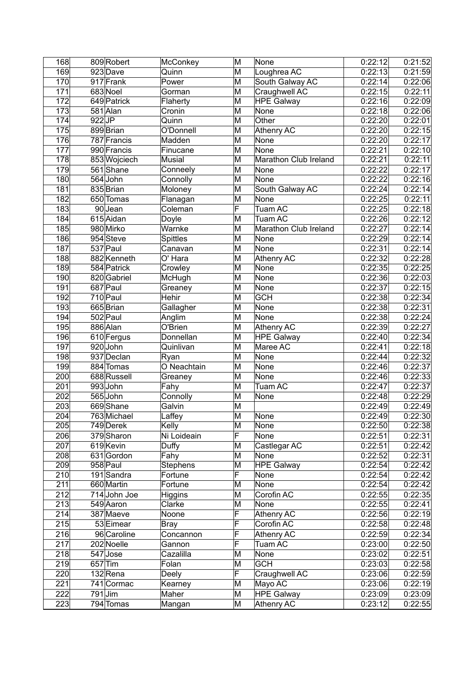| 168               |          | 809 Robert   | McConkey        | M                       | None                  | 0:22:12 | 0:21:52            |
|-------------------|----------|--------------|-----------------|-------------------------|-----------------------|---------|--------------------|
| 169               |          | 923Dave      | Quinn           | M                       | Loughrea AC           | 0:22:13 | 0:21:59            |
| 170               |          | 917 Frank    | Power           | M                       | South Galway AC       | 0:22:14 | 0:22:06            |
| 171               |          | 683 Noel     | Gorman          | M                       | Craughwell AC         | 0:22:15 | 0:22:11            |
| 172               |          | 649 Patrick  | Flaherty        | M                       | <b>HPE Galway</b>     | 0:22:16 | 0:22:09            |
| 173               |          | 581 Alan     | Cronin          | M                       | None                  | 0:22:18 | 0:22:06            |
| 174               | $922$ JP |              | Quinn           | $\overline{\mathsf{M}}$ | Other                 | 0:22:20 | 0:22:01            |
| 175               |          | 899 Brian    | O'Donnell       | M                       | <b>Athenry AC</b>     | 0:22:20 | 0:22:15            |
| 176               |          | 787 Francis  | Madden          | $\overline{\mathsf{M}}$ | None                  | 0:22:20 | 0:22:17            |
| 177               |          | 990 Francis  | Finucane        | M                       | None                  | 0:22:21 | 0:22:10            |
| 178               |          | 853 Wojciech | Musial          | M                       | Marathon Club Ireland | 0:22:21 | 0:22:11            |
| 179               |          | 561 Shane    | Conneely        | M                       | None                  | 0:22:22 | 0:22:17            |
| 180               |          | 564 John     | Connolly        | M                       | None                  | 0:22:22 | 0:22:16            |
| 181               |          | 835 Brian    | Moloney         | M                       | South Galway AC       | 0:22:24 | 0:22:14            |
| 182               |          | 650 Tomas    |                 | M                       | None                  | 0:22:25 | 0:22:11            |
|                   |          |              | Flanagan        |                         |                       |         |                    |
| 183               |          | 90Jean       | Coleman         | F                       | Tuam AC               | 0:22:25 | 0:22:18            |
| 184               |          | 615 Aidan    | Doyle           | M                       | <b>Tuam AC</b>        | 0:22:26 | 0:22:12            |
| 185               |          | 980 Mirko    | Warnke          | M                       | Marathon Club Ireland | 0:22:27 | 0:22:14            |
| 186               |          | 954 Steve    | <b>Spittles</b> | M                       | None                  | 0:22:29 | 0:22:14            |
| 187               |          | 537 Paul     | Canavan         | M                       | None                  | 0:22:31 | 0:22:14            |
| 188               |          | 882 Kenneth  | O' Hara         | M                       | <b>Athenry AC</b>     | 0:22:32 | 0:22:28            |
| 189               |          | 584 Patrick  | Crowley         | M                       | None                  | 0:22:35 | 0:22:25            |
| 190               |          | 820 Gabriel  | McHugh          | M                       | None                  | 0:22:36 | 0:22:03            |
| 191               |          | 687 Paul     | Greaney         | M                       | None                  | 0:22:37 | 0:22:15            |
| 192               |          | 710 Paul     | Hehir           | M                       | <b>GCH</b>            | 0:22:38 | 0:22:34            |
| 193               |          | 665 Brian    | Gallagher       | M                       | None                  | 0:22:38 | 0:22:31            |
| 194               |          | 502 Paul     | Anglim          | M                       | None                  | 0:22:38 | 0:22:24            |
| 195               |          | 886 Alan     | O'Brien         | M                       | Athenry AC            | 0:22:39 | 0:22:27            |
| 196               |          | 610 Fergus   | Donnellan       | M                       | <b>HPE Galway</b>     | 0:22:40 | 0:22:34            |
| 197               |          | 920John      | Quinlivan       | M                       | Maree AC              | 0:22:41 | 0:22:18            |
| 198               |          | 937 Declan   | Ryan            | M                       | None                  | 0:22:44 | 0:22:32            |
| 199               |          | 884 Tomas    | O Neachtain     | M                       | None                  | 0:22:46 | 0:22:37            |
| 200               |          | 688 Russell  | Greaney         | M                       | None                  | 0:22:46 | 0:22:33            |
| 201               |          | 993John      | Fahy            | M                       | Tuam AC               | 0:22:47 | 0:22:37            |
| 202               |          | 565 John     | Connolly        | M                       | None                  | 0:22:48 | 0:22:29            |
| 203               |          | 669Shane     | Galvin          | M                       |                       | 0:22:49 | 0:22:49            |
| 204               |          | 763 Michael  | Laffey          | $\overline{\mathsf{M}}$ | None                  | 0:22:49 | 0:22:30            |
| 205               |          | 749 Derek    | Kelly           | M                       | None                  | 0:22:50 | 0:22:38            |
| 206               |          | 379 Sharon   | Ni Loideain     | F                       | None                  | 0:22:51 |                    |
| 207               |          | 619 Kevin    | Duffy           | M                       | Castlegar AC          | 0:22:51 | 0:22:31<br>0:22:42 |
|                   |          |              |                 | M                       |                       |         |                    |
| 208               |          | 631 Gordon   | Fahy            |                         | None                  | 0:22:52 | 0:22:31            |
| 209               |          | 958 Paul     | <b>Stephens</b> | M                       | <b>HPE Galway</b>     | 0:22:54 | 0:22:42            |
| 210               |          | 191 Sandra   | Fortune         | F                       | None                  | 0:22:54 | 0:22:42            |
| 211               |          | 660 Martin   | Fortune         | M                       | None                  | 0:22:54 | 0:22:42            |
| 212               |          | 714 John Joe | Higgins         | M                       | Corofin AC            | 0:22:55 | 0:22:35            |
| 213               |          | 549 Aaron    | Clarke          | M                       | None                  | 0:22:55 | 0:22:41            |
| 214               |          | 387 Maeve    | Noone           | F                       | <b>Athenry AC</b>     | 0:22:56 | 0:22:19            |
| 215               |          | 53 Eimear    | Bray            | F                       | Corofin AC            | 0:22:58 | 0:22:48            |
| $\overline{2}$ 16 |          | 96 Caroline  | Concannon       | F                       | Athenry AC            | 0:22:59 | 0:22:34            |
| 217               |          | 202 Noelle   | Gannon          | F                       | Tuam AC               | 0:23:00 | 0:22:50            |
| 218               |          | $547$ Jose   | Cazalilla       | M                       | None                  | 0:23:02 | 0:22:51            |
| 219               |          | $657$ Tim    | Folan           | M                       | <b>GCH</b>            | 0:23:03 | 0:22:58            |
| 220               |          | $132$ Rena   | Deely           | F                       | Craughwell AC         | 0:23:06 | 0:22:59            |
| 221               |          | 741 Cormac   | Kearney         | M                       | Mayo AC               | 0:23:06 | 0:22:19            |
| 222               |          | $791$ Jim    | Maher           | M                       | <b>HPE Galway</b>     | 0:23:09 | 0:23:09            |
| 223               |          | 794 Tomas    | Mangan          | M                       | Athenry AC            | 0:23:12 | 0:22:55            |
|                   |          |              |                 |                         |                       |         |                    |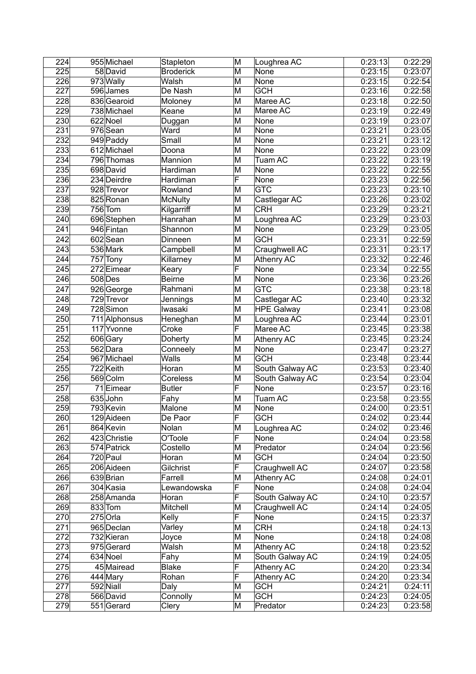| 224              | 955 Michael   | Stapleton           | M                       | Loughrea AC       | 0:23:13            | 0:22:29            |
|------------------|---------------|---------------------|-------------------------|-------------------|--------------------|--------------------|
| 225              | 58 David      | <b>Broderick</b>    | $\overline{\mathsf{M}}$ | None              | 0:23:15            | 0:23:07            |
| 226              | 973 Wally     | Walsh               | M                       | None              | 0:23:15            | 0:22:54            |
| 227              | 596 James     | De Nash             | M                       | <b>GCH</b>        | 0:23:16            | 0:22:58            |
| 228              | 836 Gearoid   | Moloney             | M                       | Maree AC          | 0:23:18            | 0:22:50            |
| 229              | 738 Michael   | Keane               | M                       | Maree AC          | 0:23:19            | 0:22:49            |
| 230              | 622 Noel      | Duggan              | M                       | None              | 0:23:19            | 0:23:07            |
| $\overline{231}$ | 976 Sean      | Ward                | M                       | None              | 0:23:21            | 0:23:05            |
| 232              | 949 Paddy     | Small               | M                       | None              | 0:23:21            | 0:23:12            |
| 233              | 612 Michael   | Doona               | M                       | None              | 0:23:22            | 0:23:09            |
| 234              | 796 Thomas    | Mannion             | M                       | Tuam AC           | 0:23:22            | 0:23:19            |
| 235              | 698 David     | Hardiman            | M                       | None              | 0:23:22            | 0:22:55            |
| 236              | 234 Deirdre   | Hardiman            | F                       | None              | 0:23:23            | 0:22:56            |
| 237              | 928 Trevor    | Rowland             | M                       | <b>GTC</b>        | 0:23:23            | 0:23:10            |
| 238              | 825 Ronan     | <b>McNulty</b>      | M                       | Castlegar AC      | 0:23:26            | 0:23:02            |
| 239              | $756$ Tom     | Kilgarriff          | M                       | <b>CRH</b>        | 0:23:29            | 0:23:21            |
| 240              | 696 Stephen   | Hanrahan            | M                       | Loughrea AC       | 0:23:29            | 0:23:03            |
| 241              | 946 Fintan    | Shannon             | M                       | None              | 0:23:29            | 0:23:05            |
| 242              | 602 Sean      | Dinneen             | M                       | <b>GCH</b>        | 0:23:31            | 0:22:59            |
| 243              | 536 Mark      | Campbell            | M                       | Craughwell AC     | 0:23:31            | 0:23:17            |
| 244              | 757 Tony      | Killarney           | M                       | <b>Athenry AC</b> | 0:23:32            | 0:22:46            |
| 245              | 272 Eimear    | Keary               | F                       | None              | 0:23:34            | 0:22:55            |
| 246              | 508 Des       | Beirne              | M                       | None              | 0:23:36            | 0:23:26            |
| 247              | 926 George    | Rahmani             | M                       | <b>GTC</b>        | 0:23:38            | 0:23:18            |
| 248              | 729 Trevor    | Jennings            | M                       | Castlegar AC      | 0:23:40            | 0:23:32            |
| 249              | 728 Simon     | Iwasaki             | M                       | <b>HPE Galway</b> | 0:23:41            | 0:23:08            |
| 250              | 711 Alphonsus | Heneghan            | M                       | Loughrea AC       | 0:23:44            | 0:23:01            |
| 251              | 117 Yvonne    | Croke               | F                       | Maree AC          | 0:23:45            | 0:23:38            |
| 252              | 606 Gary      | Doherty             | M                       | Athenry AC        | 0:23:45            | 0:23:24            |
| 253              | 562 Dara      | Conneely            | M                       | None              | 0:23:47            | 0:23:27            |
| 254              | 967 Michael   | Walls               | M                       | <b>GCH</b>        | 0:23:48            | 0:23:44            |
| 255              | 722 Keith     | Horan               | M                       | South Galway AC   | 0:23:53            | 0:23:40            |
| 256              | 569 Colm      | Coreless            | M                       | South Galway AC   | 0:23:54            | 0:23:04            |
| 257              | 71 Eimear     | <b>Butler</b>       | F                       | None              | 0:23:57            | 0:23:16            |
| 258              | 635 John      | Fahy                | M                       | <b>Tuam AC</b>    | 0:23:58            | 0:23:55            |
| 259              | 793 Kevin     | Malone              | M                       | None              | 0:24:00            | 0:23:51            |
| 260              | 129 Aideen    | De Paor             | F                       | <b>GCH</b>        | 0:24:02            | 0:23:44            |
| 261              | 864 Kevin     | Nolan               | M                       | Loughrea AC       | 0:24:02            | 0:23:46            |
| 262              | 423 Christie  |                     | F                       | None              |                    |                    |
| 263              | 574 Patrick   | O'Toole<br>Costello | M                       | Predator          | 0:24:04<br>0:24:04 | 0:23:58<br>0:23:56 |
| 264              |               |                     | M                       |                   | 0:24:04            |                    |
|                  | 720 Paul      | Horan               | F                       | <b>GCH</b>        |                    | 0:23:50            |
| 265              | 206 Aideen    | Gilchrist           |                         | Craughwell AC     | 0:24:07            | 0:23:58            |
| 266              | 639 Brian     | Farrell             | M                       | Athenry AC        | 0:24:08            | 0:24:01            |
| 267              | 304 Kasia     | Lewandowska         | F                       | None              | 0:24:08            | 0:24:04            |
| 268              | 258 Amanda    | Horan               | F                       | South Galway AC   | 0:24:10            | 0:23:57            |
| 269              | 833 Tom       | Mitchell            | M                       | Craughwell AC     | 0:24:14            | 0:24:05            |
| 270              | $275$ Orla    | Kelly               | F                       | None              | 0:24:15            | 0:23:37            |
| 271              | 965 Declan    | Varley              | M                       | <b>CRH</b>        | 0:24:18            | 0:24:13            |
| 272              | 732 Kieran    | Joyce               | M                       | None              | 0:24:18            | 0:24:08            |
| 273              | 975 Gerard    | Walsh               | M                       | Athenry AC        | 0:24:18            | 0:23:52            |
| 274              | 634 Noel      | Fahy                | M                       | South Galway AC   | 0:24:19            | 0:24:05            |
| 275              | 45 Mairead    | <b>Blake</b>        | F                       | Athenry AC        | 0:24:20            | 0:23:34            |
| 276              | 444 Mary      | Rohan               | F                       | Athenry AC        | 0:24:20            | 0:23:34            |
| 277              | 592 Niall     | Daly                | M                       | <b>GCH</b>        | 0:24:21            | 0:24:11            |
| 278              | 566 David     | Connolly            | M                       | <b>GCH</b>        | 0:24:23            | 0:24:05            |
| $\overline{279}$ | 551 Gerard    | Clery               | M                       | Predator          | 0:24:23            | 0:23:58            |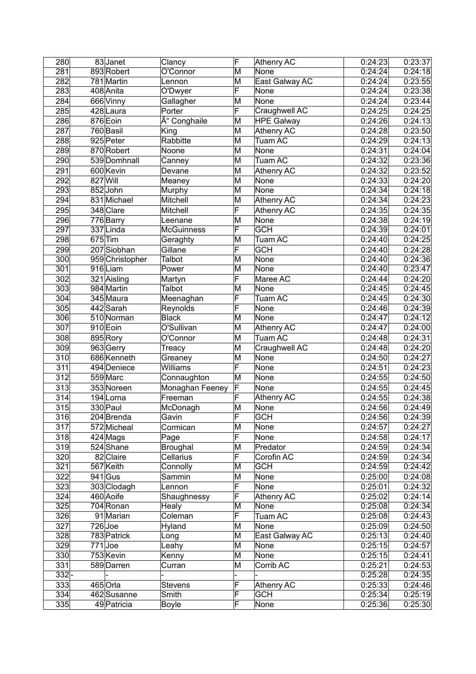| 280               | 83Janet         | Clancy                     | F                       | <b>Athenry AC</b>  | 0:24:23            | 0:23:37            |
|-------------------|-----------------|----------------------------|-------------------------|--------------------|--------------------|--------------------|
| 281               | 893 Robert      | O'Connor                   | $\overline{\mathsf{M}}$ | None               | 0:24:24            | 0:24:18            |
| 282               | 781 Martin      | Lennon                     | M                       | East Galway AC     | 0:24:24            | 0:23:55            |
| 283               | 408 Anita       | O'Dwyer                    | F                       | None               | 0:24:24            | 0:23:38            |
| 284               | 666 Vinny       | Gallagher                  | M                       | None               | 0:24:24            | 0:23:44            |
| 285               | 428 Laura       | Porter                     | F                       | Craughwell AC      | 0:24:25            | 0:24:25            |
| 286               | 876 Eoin        | Ó Conghaile                | M                       | <b>HPE Galway</b>  | 0:24:26            | 0:24:13            |
| 287               | 760 Basil       | King                       | M                       | <b>Athenry AC</b>  | 0:24:28            | 0:23:50            |
| 288               | 925 Peter       | Rabbitte                   | M                       | Tuam AC            | 0:24:29            | 0:24:13            |
| 289               | 870 Robert      | Noone                      | M                       | None               | 0:24:31            | 0:24:04            |
| 290               | 539 Domhnall    | Canney                     | M                       | Tuam AC            | 0:24:32            | 0:23:36            |
| 291               | 600 Kevin       | Devane                     | M                       | <b>Athenry AC</b>  | 0:24:32            | 0:23:52            |
| 292               | 827 Will        | Meaney                     | M                       | None               | 0:24:33            | 0:24:20            |
| 293               | 852John         | Murphy                     | M                       | None               | 0:24:34            | 0:24:18            |
| 294               | 831 Michael     | Mitchell                   | M                       | <b>Athenry AC</b>  | 0:24:34            | 0:24:23            |
| 295               | 348 Clare       | Mitchell                   | F                       | <b>Athenry AC</b>  | 0:24:35            | 0:24:35            |
| 296               | 776 Barry       | Leenane                    | M                       | None               | 0:24:38            | 0:24:19            |
| 297               | 337 Linda       | <b>McGuinness</b>          | F                       | <b>GCH</b>         | 0:24:39            | 0:24:01            |
| 298               | $675$ Tim       | Geraghty                   | M                       | <b>Tuam AC</b>     | 0:24:40            | 0:24:25            |
| 299               | $207$ Siobhan   | Gillane                    | F                       | <b>GCH</b>         | 0:24:40            | 0:24:28            |
| 300               | 959 Christopher | Talbot                     | M                       | None               | 0:24:40            | 0:24:36            |
| $\overline{301}$  | 916Liam         | Power                      | M                       | None               | 0:24:40            | 0:23:47            |
| 302               | 321 Aisling     | Martyn                     | F                       | Maree AC           | 0:24:44            | 0:24:20            |
| $\overline{303}$  | 984 Martin      | <b>Talbot</b>              | M                       | None               | 0:24:45            | 0:24:45            |
| 304               | 345 Maura       | Meenaghan                  | F                       | Tuam AC            | 0:24:45            | 0:24:30            |
| 305               | 442 Sarah       | Reynolds                   | F                       | None               | 0:24:46            | 0:24:39            |
| 306               | 510 Norman      | <b>Black</b>               | M                       | None               | 0:24:47            | 0:24:12            |
| 307               | 910 Eoin        | O'Sullivan                 | M                       | Athenry AC         | 0:24:47            | 0:24:00            |
| 308               | 895 Rory        | O'Connor                   | M                       | <b>Tuam AC</b>     | 0:24:48            | 0:24:31            |
| 309               | 963 Gerry       | Treacy                     | M                       | Craughwell AC      | 0:24:48            | 0:24:20            |
| 310               | 686 Kenneth     |                            | M                       | None               | 0:24:50            | 0:24:27            |
| 311               | 494 Deniece     | Greaney<br>Williams        | F                       | None               |                    | 0:24:23            |
| 312               | 559 Marc        | Connaughton                | M                       | None               | 0:24:51<br>0:24:55 | 0:24:50            |
| 313               | 353 Noreen      |                            | F                       | None               | 0:24:55            | 0:24:45            |
| 314               | 194 Lorna       | Monaghan Feeney<br>Freeman | F                       |                    | 0:24:55            | 0:24:38            |
| $\overline{3}$ 15 | $330$ Paul      |                            | M                       | <b>Athenry AC</b>  |                    |                    |
|                   |                 | McDonagh                   | $\overline{\mathsf{F}}$ | None<br><b>GCH</b> | 0:24:56            | 0:24:49<br>0:24:39 |
| $\overline{316}$  | 204 Brenda      | Gavin                      |                         |                    | 0:24:56            |                    |
| 317               | 572 Micheal     | Cormican                   | M<br>F                  | None               | 0:24:57            | 0:24:27            |
| 318               | $424$ Mags      | Page                       |                         | None               | 0:24:58            | 0:24:17            |
| 319               | 524 Shane       | Broughal                   | M                       | Predator           | 0:24:59            | 0:24:34            |
| 320               | 82 Claire       | Cellarius                  | F                       | Corofin AC         | 0:24:59            | 0:24:34            |
| 321               | 567 Keith       | Connolly                   | M                       | <b>GCH</b>         | 0:24:59            | 0:24:42            |
| 322               | $941$ Gus       | Sammin                     | M                       | None               | 0:25:00            | 0:24:08            |
| 323               | 303 Clodagh     | Lennon                     | F                       | None               | 0:25:01            | 0:24:32            |
| 324               | 460 Aoife       | Shaughnessy                | F                       | Athenry AC         | 0:25:02            | 0:24:14            |
| 325               | 704 Ronan       | Healy                      | M                       | None               | 0:25:08            | 0:24:34            |
| 326               | 91 Marian       | Coleman                    | F                       | Tuam AC            | 0:25:08            | 0:24:43            |
| 327               | $726$ Joe       | Hyland                     | M                       | None               | 0:25:09            | 0:24:50            |
| 328               | 783 Patrick     | Long                       | M                       | East Galway AC     | 0:25:13            | 0:24:40            |
| 329               | $771$ Joe       | Leahy                      | M                       | None               | 0:25:15            | 0:24:57            |
| 330               | 753 Kevin       | Kenny                      | M                       | None               | 0:25:15            | 0:24:41            |
| 331               | 589 Darren      | Curran                     | M                       | Corrib AC          | 0:25:21            | 0:24:53            |
| $332 -$           |                 |                            |                         |                    | 0:25:28            | 0:24:35            |
| 333               | 465 Orla        | <b>Stevens</b>             | F                       | Athenry AC         | 0:25:33            | 0:24:46            |
| 334               | 462 Susanne     | Smith                      | F                       | <b>GCH</b>         | 0:25:34            | 0:25:19            |
| 335               | 49 Patricia     | <b>Boyle</b>               | F                       | None               | 0:25:36            | 0:25:30            |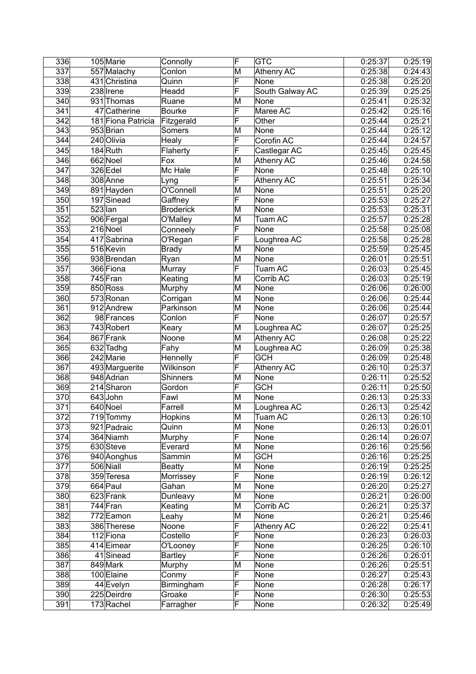| 336              |           | 105 Marie               | Connolly         | F                       | <b>GTC</b>        | 0:25:37 | 0:25:19 |
|------------------|-----------|-------------------------|------------------|-------------------------|-------------------|---------|---------|
| 337              |           | 557 Malachy             | Conlon           | M                       | <b>Athenry AC</b> | 0:25:38 | 0:24:43 |
| 338              |           | 431 Christina           | Quinn            | F                       | None              | 0:25:38 | 0:25:20 |
| 339              |           | 238 Irene               | Headd            | F                       | South Galway AC   | 0:25:39 | 0:25:25 |
| 340              |           | 931 Thomas              | Ruane            | M                       | None              | 0:25:41 | 0:25:32 |
| 341              |           | 47 Catherine            | <b>Bourke</b>    | F                       | Maree AC          | 0:25:42 | 0:25:16 |
| $\overline{342}$ |           | 181 Fiona Patricia      | Fitzgerald       | F                       | Other             | 0:25:44 | 0:25:21 |
| $\overline{343}$ |           | 953 Brian               | Somers           | M                       | None              | 0:25:44 | 0:25:12 |
| 344              |           | 240 Olivia              | Healy            | F                       | Corofin AC        | 0:25:44 | 0:24:57 |
| 345              |           | $184$ Ruth              | Flaherty         | F                       | Castlegar AC      | 0:25:45 | 0:25:45 |
| 346              |           | 662 Noel                | Fox              | M                       | <b>Athenry AC</b> | 0:25:46 | 0:24:58 |
| 347              |           | 326 Edel                | Mc Hale          | F                       | None              | 0:25:48 | 0:25:10 |
| 348              |           | 308 Anne                | Lyng             | F                       | Athenry AC        | 0:25:51 | 0:25:34 |
| 349              |           |                         | O'Connell        | M                       | None              | 0:25:51 | 0:25:20 |
| 350              |           | 891 Hayden              |                  | F                       |                   |         |         |
|                  |           | 197 Sinead              | Gaffney          |                         | None              | 0:25:53 | 0:25:27 |
| 351              | $523$ lan |                         | <b>Broderick</b> | M                       | None              | 0:25:53 | 0:25:31 |
| 352              |           | 906 Fergal              | O'Malley         | M                       | Tuam AC           | 0:25:57 | 0:25:28 |
| 353              |           | 216 Noel                | Conneely         | F                       | None              | 0:25:58 | 0:25:08 |
| 354              |           | 417 Sabrina             | O'Regan          | F                       | Loughrea AC       | 0:25:58 | 0:25:28 |
| 355              |           | 516 Kevin               | <b>Brady</b>     | M                       | None              | 0:25:59 | 0:25:45 |
| 356              |           | 938 Brendan             | Ryan             | M                       | None              | 0:26:01 | 0:25:51 |
| 357              |           | 366 Fiona               | Murray           | F                       | Tuam AC           | 0:26:03 | 0:25:45 |
| 358              |           | 745 Fran                | Keating          | M                       | Corrib AC         | 0:26:03 | 0:25:19 |
| 359              |           | 850 Ross                | Murphy           | M                       | None              | 0:26:06 | 0:26:00 |
| 360              |           | 573 Ronan               | Corrigan         | M                       | None              | 0:26:06 | 0:25:44 |
| 361              |           | 912 Andrew              | Parkinson        | M                       | None              | 0:26:06 | 0:25:44 |
| 362              |           | 98 Frances              | Conlon           | F                       | None              | 0:26:07 | 0:25:57 |
| 363              |           | 743 Robert              | Keary            | M                       | Loughrea AC       | 0:26:07 | 0:25:25 |
| 364              |           | 867 Frank               | Noone            | M                       | <b>Athenry AC</b> | 0:26:08 | 0:25:22 |
| 365              |           | 632 Tadhg               | Fahy             | M                       | Loughrea AC       | 0:26:09 | 0:25:38 |
| 366              |           | $\overline{24}$ 2 Marie | Hennelly         | F                       | <b>GCH</b>        | 0:26:09 | 0:25:48 |
| 367              |           | 493 Marguerite          | Wilkinson        | F                       | <b>Athenry AC</b> | 0:26:10 | 0:25:37 |
| 368              |           | 948 Adrian              | Shinners         | M                       | None              | 0:26:11 | 0:25:52 |
| 369              |           | 214 Sharon              | Gordon           | F                       | <b>GCH</b>        | 0:26:11 | 0:25:50 |
| 370              |           | 643John                 | Fawl             | M                       | None              | 0:26:13 | 0:25:33 |
| 371              |           | 640 Noel                | Farrell          | M                       | Loughrea AC       | 0:26:13 | 0:25:42 |
| 372              |           | 719 Tommy               | <b>Hopkins</b>   | $\overline{\mathsf{M}}$ | Tuam AC           | 0:26:13 | 0:26:10 |
| 373              |           | 921 Padraic             | Quinn            | M                       | None              | 0:26:13 | 0:26:01 |
| 374              |           | 364 Niamh               | Murphy           | F                       | None              | 0:26:14 | 0:26:07 |
| 375              |           | 630 Steve               | Everard          | M                       | <b>None</b>       | 0:26:16 | 0:25:56 |
| 376              |           | 940 Aonghus             | Sammin           | M                       | <b>GCH</b>        | 0:26:16 | 0:25:25 |
| $\overline{377}$ |           | 506 Niall               | <b>Beatty</b>    | M                       | None              | 0:26:19 | 0:25:25 |
| 378              |           | 359 Teresa              | Morrissey        | F                       | None              | 0:26:19 | 0:26:12 |
| 379              |           | 664 Paul                | Gahan            | M                       | None              | 0:26:20 | 0:25:27 |
| 380              |           | 623 Frank               | Dunleavy         | M                       | None              | 0:26:21 | 0:26:00 |
| 381              |           |                         |                  |                         | Corrib AC         | 0:26:21 | 0:25:37 |
|                  |           | 744 Fran                | Keating          | M<br>M                  | None              |         | 0:25:46 |
| 382              |           | 772 Eamon               | Leahy            |                         |                   | 0:26:21 |         |
| 383              |           | 386 Therese             | Noone            | F                       | Athenry AC        | 0:26:22 | 0:25:41 |
| 384              |           | 112 Fiona               | Costello         | F                       | None              | 0:26:23 | 0:26:03 |
| 385              |           | 414 Eimear              | O'Looney         | F                       | None              | 0:26:25 | 0:26:10 |
| 386              |           | $\overline{41}$ Sinead  | <b>Bartley</b>   | F                       | None              | 0:26:26 | 0:26:01 |
| 387              |           | 849 Mark                | Murphy           | M                       | None              | 0:26:26 | 0:25:51 |
| 388              |           | 100 Elaine              | Conmy            | F                       | None              | 0:26:27 | 0:25:43 |
| 389              |           | 44 Evelyn               | Birmingham       | F                       | None              | 0:26:28 | 0:26:17 |
| 390              |           | 225 Deirdre             | Groake           | F                       | None              | 0:26:30 | 0:25:53 |
| 391              |           | 173 Rachel              | Farragher        | F                       | None              | 0:26:32 | 0:25:49 |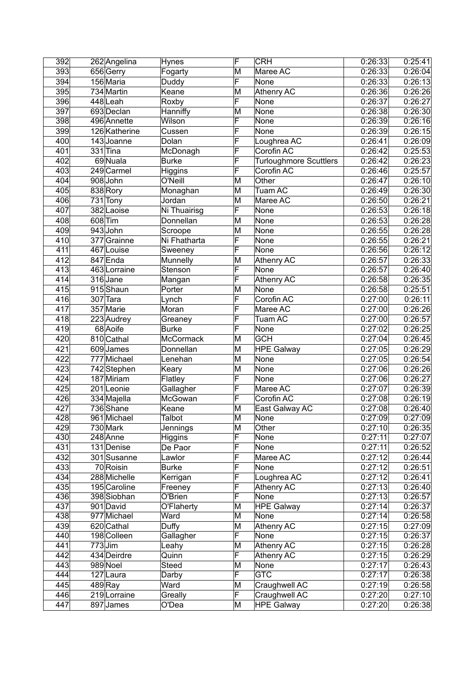| 392        | 262 Angelina            | <b>Hynes</b>            | F                            | <b>CRH</b>                    | 0:26:33              | 0:25:41            |
|------------|-------------------------|-------------------------|------------------------------|-------------------------------|----------------------|--------------------|
| 393        | 656 Gerry               | Fogarty                 | M                            | Maree AC                      | 0:26:33              | 0:26:04            |
| 394        | 156 Maria               | Duddy                   | F                            | None                          | 0:26:33              | 0:26:13            |
| 395        | 734 Martin              | Keane                   | M                            | <b>Athenry AC</b>             | 0:26:36              | 0:26:26            |
| 396        | 448Leah                 | Roxby                   | F                            | None                          | 0:26:37              | 0:26:27            |
| 397        | 693 Declan              | Hanniffy                | M                            | None                          | 0:26:38              | 0:26:30            |
| 398        | 496 Annette             | Wilson                  | F                            | None                          | 0:26:39              | 0:26:16            |
| 399        | 126 Katherine           | Cussen                  | F                            | None                          | 0:26:39              | 0:26:15            |
| 400        | 143Joanne               | Dolan                   | F                            | Loughrea AC                   | 0:26:41              | 0:26:09            |
| 401        | $331$ Tina              | McDonagh                | F                            | Corofin AC                    | 0:26:42              | 0:25:53            |
| 402        | 69 Nuala                | <b>Burke</b>            | F                            | <b>Turloughmore Scuttlers</b> | 0:26:42              | 0:26:23            |
| 403        | 249 Carmel              | Higgins                 | F                            | Corofin AC                    | 0:26:46              | 0:25:57            |
| 404        | 908John                 | O'Neill                 | M                            | Other                         | 0:26:47              | 0:26:10            |
| 405        | 838 Rory                | Monaghan                | M                            | Tuam AC                       | 0:26:49              | 0:26:30            |
| 406        | $\overline{7}31$ Tony   | Jordan                  | M                            | Maree AC                      | 0:26:50              | 0:26:21            |
| 407        | 382 Laoise              | Ni Thuairisg            | F                            | None                          | 0:26:53              | 0:26:18            |
| 408        | 608 Tim                 | Donnellan               | M                            | None                          | 0:26:53              | 0:26:28            |
| 409        | 943 John                | Scroope                 | M                            | None                          | 0:26:55              | 0:26:28            |
| 410        | 377 Grainne             | Ni Fhatharta            | F                            | None                          | 0:26:55              | 0:26:21            |
| 411        | 467 Louise              | Sweeney                 | F                            | None                          | 0:26:56              | 0:26:12            |
| 412        | 847 Enda                | Munnelly                | M                            | <b>Athenry AC</b>             | 0:26:57              | 0:26:33            |
| 413        | 463 Lorraine            | Stenson                 | F                            | None                          | 0:26:57              | 0:26:40            |
| 414        | 316 Jane                |                         | F                            | Athenry AC                    | 0:26:58              | 0:26:35            |
| 415        | 915 Shaun               | Mangan<br>Porter        | $\overline{\mathsf{M}}$      | None                          | 0:26:58              | 0:25:51            |
| 416        | 307 Tara                |                         | F                            | Corofin AC                    | 0:27:00              | 0:26:11            |
| 417        | 357 Marie               | Lynch<br>Moran          | F                            | Maree AC                      | 0:27:00              |                    |
| 418        |                         |                         | F                            |                               |                      | 0:26:26<br>0:26:57 |
|            | 223 Audrey              | Greaney<br><b>Burke</b> | F                            | Tuam AC                       | 0:27:00              |                    |
| 419        | 68 Aoife                |                         |                              | None                          | 0:27:02              | 0:26:25            |
| 420        | 810 Cathal              | <b>McCormack</b>        | M                            | <b>GCH</b>                    | 0:27:04              | 0:26:45            |
| 421        | 609 James               | Donnellan               | M                            | <b>HPE Galway</b>             | $\overline{0:}27:05$ | 0:26:29            |
| 422        | 777 Michael             | Lenehan                 | M                            | None                          | 0:27:05              | 0:26:54            |
| 423        | 742 Stephen             | Keary                   | M<br>F                       | None                          | 0:27:06              | 0:26:26            |
| 424        | 187 Miriam              | Flatley                 | F                            | None                          | 0:27:06              | 0:26:27            |
| 425        | 201 Leonie              | Gallagher               |                              | Maree AC                      | 0:27:07              | 0:26:39            |
| 426        | 334 Majella             | McGowan                 | F                            | Corofin AC                    | 0:27:08              | 0:26:19            |
| 427        | 736 Shane               | Keane                   | M                            | East Galway AC                | 0:27:08              | 0:26:40            |
| 428        | 961 Michael             | <b>Talbot</b>           | $\overline{\mathsf{M}}$      | None                          | 0:27:09              | 0:27:09            |
| 429        | 730 Mark                | Jennings                | M                            | Other                         | 0:27:10              | 0:26:35            |
| 430        | 248 Anne                | Higgins                 | F                            | None                          | 0:27:11              | 0:27:07            |
| 431        | 131 Denise              | De Paor                 | F                            | None                          | 0:27:11              | 0:26:52            |
| 432        | 301 Susanne             | Lawlor                  | F                            | Maree AC                      | 0:27:12              | 0:26:44            |
| 433        | 70 Roisin               | <b>Burke</b>            | F                            | None                          | 0:27:12              | 0:26:51            |
| 434        | 288 Michelle            | Kerrigan                | F                            | Loughrea AC                   | 0:27:12              | 0:26:41            |
| 435        | 195 Caroline            | Freeney                 | F                            | Athenry AC                    | 0:27:13              | 0:26:40            |
| 436        | 398 Siobhan             | O'Brien                 | F                            | None                          | 0:27:13              | 0:26:57            |
| 437        | 901 David               | O'Flaherty              | M                            | <b>HPE Galway</b>             | 0:27:14              | 0:26:37            |
| 438        | 977 Michael             | Ward                    | M                            | None                          | 0:27:14              | 0:26:58            |
| 439        | 620 Cathal              | Duffy                   | M<br>F                       | Athenry AC                    | 0:27:15              | 0:27:09            |
| 440        | 198 Colleen             | Gallagher               |                              | None                          | 0:27:15              | 0:26:37            |
| 441        | $773$ Jim               | Leahy                   | M<br>$\overline{\mathsf{F}}$ | Athenry AC                    | 0:27:15              | 0:26:28            |
| 442<br>443 | 434 Deirdre<br>989 Noel | Quinn<br>Steed          | $\overline{\mathsf{M}}$      | Athenry AC<br>None            | 0:27:15<br>0:27:17   | 0:26:29<br>0:26:43 |
| 444        | 127 Laura               | Darby                   | $\overline{\mathsf{F}}$      | <b>GTC</b>                    | 0:27:17              | 0:26:38            |
|            |                         | Ward                    | M                            |                               |                      |                    |
| 445        | $489$ Ray               |                         | F                            | Craughwell AC                 | 0:27:19              | 0:26:58            |
| 446        | 219 Lorraine            | Greally                 |                              | Craughwell AC                 | 0:27:20              | 0:27:10            |
| 447        | 897 James               | O'Dea                   | M                            | <b>HPE Galway</b>             | 0:27:20              | 0:26:38            |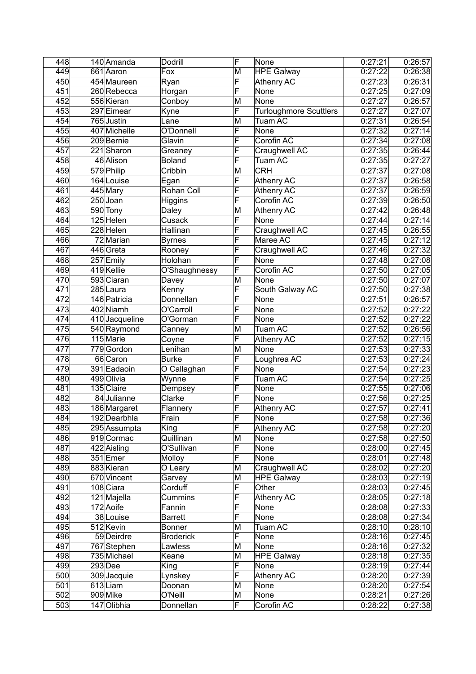| 448 | 140 Amanda     | Dodrill          | F                       | None                          | 0:27:21 | 0:26:57 |
|-----|----------------|------------------|-------------------------|-------------------------------|---------|---------|
| 449 | 661 Aaron      | Fox              | M                       | <b>HPE Galway</b>             | 0:27:22 | 0:26:38 |
| 450 | 454 Maureen    | Ryan             | F                       | Athenry AC                    | 0:27:23 | 0:26:31 |
| 451 | 260 Rebecca    | Horgan           | F                       | None                          | 0:27:25 | 0:27:09 |
| 452 | 556 Kieran     | Conboy           | M                       | None                          | 0:27:27 | 0:26:57 |
| 453 | 297 Eimear     | Kyne             | F                       | <b>Turloughmore Scuttlers</b> | 0:27:27 | 0:27:07 |
| 454 | 765 Justin     | Lane             | M                       | Tuam AC                       | 0:27:31 | 0:26:54 |
| 455 | 407 Michelle   | O'Donnell        | F                       | None                          | 0:27:32 | 0:27:14 |
| 456 | 209 Bernie     | Glavin           | F                       | Corofin AC                    | 0:27:34 | 0:27:08 |
| 457 | 221 Sharon     | Greaney          | F                       | Craughwell AC                 | 0:27:35 | 0:26:44 |
| 458 | 46 Alison      | <b>Boland</b>    | F                       | Tuam AC                       | 0:27:35 | 0:27:27 |
| 459 |                |                  |                         | <b>CRH</b>                    |         | 0:27:08 |
|     | 579 Philip     | Cribbin          | M<br>F                  |                               | 0:27:37 |         |
| 460 | 164 Louise     | Egan             |                         | Athenry AC                    | 0:27:37 | 0:26:58 |
| 461 | 445 Mary       | Rohan Coll       | F                       | Athenry AC                    | 0:27:37 | 0:26:59 |
| 462 | 250 Joan       | Higgins          | F                       | Corofin AC                    | 0:27:39 | 0:26:50 |
| 463 | 590 Tony       | Daley            | M                       | Athenry AC                    | 0:27:42 | 0:26:48 |
| 464 | 125 Helen      | Cusack           | F                       | None                          | 0:27:44 | 0:27:14 |
| 465 | 228 Helen      | Hallinan         | F                       | Craughwell AC                 | 0:27:45 | 0:26:55 |
| 466 | 72 Marian      | Byrnes           | F                       | Maree AC                      | 0:27:45 | 0:27:12 |
| 467 | 446 Greta      | Rooney           | F                       | Craughwell AC                 | 0:27:46 | 0:27:32 |
| 468 | 257 Emily      | Holohan          | F                       | None                          | 0:27:48 | 0:27:08 |
| 469 | 419 Kellie     | O'Shaughnessy    | F                       | Corofin AC                    | 0:27:50 | 0:27:05 |
| 470 | 593 Ciaran     | Davey            | M                       | None                          | 0:27:50 | 0:27:07 |
| 471 | $285$ Laura    | Kenny            | F                       | South Galway AC               | 0:27:50 | 0:27:38 |
| 472 | 146 Patricia   | Donnellan        | F                       | None                          | 0:27:51 | 0:26:57 |
| 473 | 402 Niamh      | O'Carroll        | F                       | None                          | 0:27:52 | 0:27:22 |
| 474 | 410 Jacqueline | O'Gorman         | F                       | None                          | 0:27:52 | 0:27:22 |
| 475 | 540 Raymond    | Canney           | M                       | <b>Tuam AC</b>                | 0:27:52 | 0:26:56 |
| 476 | 115 Marie      | Coyne            | F                       | Athenry AC                    | 0:27:52 | 0:27:15 |
| 477 | 779 Gordon     | Lenihan          | M                       | None                          | 0:27:53 | 0:27:33 |
| 478 | 66 Caron       | Burke            | F                       | Loughrea AC                   | 0:27:53 | 0:27:24 |
|     | 391 Eadaoin    |                  | F                       | None                          | 0:27:54 | 0:27:23 |
| 479 |                | O Callaghan      |                         |                               |         |         |
| 480 | 499 Olivia     | Wynne            | F                       | Tuam AC                       | 0:27:54 | 0:27:25 |
| 481 | 135 Claire     | Dempsey          | F                       | None                          | 0:27:55 | 0:27:06 |
| 482 | 84 Julianne    | Clarke           | F                       | None                          | 0:27:56 | 0:27:25 |
| 483 | 186 Margaret   | Flannery         | F                       | <b>Athenry AC</b>             | 0:27:57 | 0:27:41 |
| 484 | 192 Dearbhla   | Frain            | F                       | None                          | 0:27:58 | 0:27:36 |
| 485 | 295 Assumpta   | King             | F                       | <b>Athenry AC</b>             | 0:27:58 | 0:27:20 |
| 486 | 919 Cormac     | Quillinan        | M                       | None                          | 0:27:58 | 0:27:50 |
| 487 | 422 Aisling    | O'Sullivan       | F                       | None                          | 0:28:00 | 0:27:45 |
| 488 | 351 Emer       | Molloy           | F                       | None                          | 0:28:01 | 0:27:48 |
| 489 | 883 Kieran     | O Leary          | M                       | Craughwell AC                 | 0:28:02 | 0:27:20 |
| 490 | 670 Vincent    | Garvey           | M                       | <b>HPE Galway</b>             | 0:28:03 | 0:27:19 |
| 491 | 108 Ciara      | Corduff          | F                       | Other                         | 0:28:03 | 0:27:45 |
| 492 | 121 Majella    | Cummins          | F                       | Athenry AC                    | 0:28:05 | 0:27:18 |
| 493 | 172 Aoife      | Fannin           | F                       | None                          | 0:28:08 | 0:27:33 |
| 494 | 38 Louise      | <b>Barrett</b>   | F                       | None                          | 0:28:08 | 0:27:34 |
| 495 | 512 Kevin      | <b>Bonner</b>    | M                       | Tuam AC                       | 0:28:10 | 0:28:10 |
| 496 | 59 Deirdre     | <b>Broderick</b> | $\overline{\mathsf{F}}$ | None                          | 0:28:16 | 0:27:45 |
| 497 | 767 Stephen    | Lawless          | M                       | None                          | 0:28:16 | 0:27:32 |
| 498 | 735 Michael    | Keane            | M                       | <b>HPE Galway</b>             | 0:28:18 | 0:27:35 |
| 499 | $293$ Dee      | King             | $\overline{\mathsf{F}}$ | None                          | 0:28:19 | 0:27:44 |
| 500 | 309 Jacquie    | Lynskey          | F                       | Athenry AC                    | 0:28:20 | 0:27:39 |
| 501 | 613Liam        | Doonan           | M                       | None                          | 0:28:20 | 0:27:54 |
| 502 | 909 Mike       | O'Neill          | M                       | None                          | 0:28:21 | 0:27:26 |
|     |                |                  | F                       |                               |         |         |
| 503 | 147 Olibhia    | Donnellan        |                         | Corofin AC                    | 0:28:22 | 0:27:38 |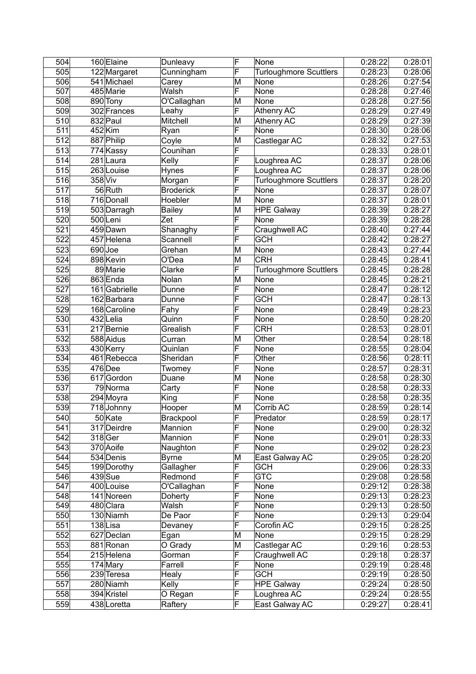| 504              |         | 160 Elaine    | Dunleavy         | F                       | None                          | 0:28:22 | 0:28:01               |
|------------------|---------|---------------|------------------|-------------------------|-------------------------------|---------|-----------------------|
| 505              |         | 122 Margaret  | Cunningham       | F                       | <b>Turloughmore Scuttlers</b> | 0:28:23 | 0:28:06               |
| 506              |         | 541 Michael   | Carey            | M                       | None                          | 0:28:26 | 0:27:54               |
| 507              |         | 485 Marie     | Walsh            | F                       | None                          | 0:28:28 | 0:27:46               |
| 508              |         | 890 Tony      | O'Callaghan      | M                       | None                          | 0:28:28 | 0:27:56               |
| 509              |         | 302 Frances   | Leahy            | F                       | Athenry AC                    | 0:28:29 | 0:27:49               |
| 510              |         | 832 Paul      | Mitchell         | M                       | <b>Athenry AC</b>             | 0:28:29 | 0:27:39               |
| $\overline{511}$ |         | $452$ Kim     | Ryan             | F                       | None                          | 0:28:30 | 0:28:06               |
| 512              |         | 887 Philip    | Coyle            | M                       | Castlegar AC                  | 0:28:32 | 0:27:53               |
| 513              |         | 774 Kassy     | Counihan         | F                       |                               | 0:28:33 | 0:28:01               |
| 514              |         | 281 Laura     | Kelly            | F                       | Loughrea AC                   | 0:28:37 | 0:28:06               |
| 515              |         | 263 Louise    | <b>Hynes</b>     | F                       | Loughrea AC                   | 0:28:37 | 0:28:06               |
| 516              | 358 Viv |               | Morgan           | F                       | <b>Turloughmore Scuttlers</b> | 0:28:37 | 0:28:20               |
| 517              |         | 56 Ruth       | <b>Broderick</b> | F                       | None                          | 0:28:37 | 0:28:07               |
| 518              |         | 716 Donall    | Hoebler          | M                       | None                          | 0:28:37 | 0:28:01               |
| 519              |         | 503 Darragh   | <b>Bailey</b>    | M                       | <b>HPE Galway</b>             | 0:28:39 | 0:28:27               |
| 520              |         | 500Leni       | Zet              | F                       | None                          | 0:28:39 | 0:28:28               |
|                  |         | 459 Dawn      |                  | F                       |                               |         |                       |
| 521              |         |               | Shanaghy         |                         | Craughwell AC                 | 0:28:40 | 0:27:44               |
| 522              |         | 457 Helena    | Scannell         | F                       | <b>GCH</b>                    | 0:28:42 | 0:28:27               |
| 523              |         | $690$ Joe     | Grehan           | M                       | None                          | 0:28:43 | 0:27:44               |
| 524              |         | 898 Kevin     | O'Dea            | M                       | <b>CRH</b>                    | 0:28:45 | 0:28:41               |
| 525              |         | 89 Marie      | Clarke           | F                       | <b>Turloughmore Scuttlers</b> | 0:28:45 | 0:28:28               |
| 526              |         | 863 Enda      | Nolan            | M                       | None                          | 0:28:45 | 0:28:21               |
| 527              |         | 161 Gabrielle | Dunne            | F                       | None                          | 0:28:47 | 0:28:12               |
| 528              |         | 162 Barbara   | Dunne            | F                       | <b>GCH</b>                    | 0:28:47 | 0:28:13               |
| 529              |         | 168 Caroline  | Fahy             | F                       | None                          | 0:28:49 | 0:28:23               |
| 530              |         | 432 Lelia     | Quinn            | F                       | None                          | 0:28:50 | 0:28:20               |
| 531              |         | 217 Bernie    | Grealish         | F                       | <b>CRH</b>                    | 0:28:53 | 0:28:01               |
| 532              |         | 588 Aidus     | Curran           | M                       | Other                         | 0:28:54 | 0:28:18               |
| 533              |         | 430 Kerry     | Quinlan          | F                       | None                          | 0:28:55 | 0:28:04               |
| 534              |         | 461 Rebecca   | Sheridan         | F                       | Other                         | 0:28:56 | 0:28:11               |
| 535              |         | $476$ Dee     | Twomey           | F                       | None                          | 0:28:57 | 0:28:31               |
| 536              |         | 617 Gordon    | Duane            | M                       | None                          | 0:28:58 | 0:28:30               |
| 537              |         | 79 Norma      | Carty            | F                       | None                          | 0:28:58 | 0:28:33               |
| 538              |         | 294 Moyra     | King             | F                       | None                          | 0:28:58 | $\overline{0}$ :28:35 |
| 539              |         | 718 Johnny    | Hooper           | M                       | Corrib AC                     | 0:28:59 | 0:28:14               |
| 540              |         | 50 Kate       | Brackpool        | $\overline{\mathsf{F}}$ | Predator                      | 0:28:59 | 0:28:17               |
| 541              |         | 317 Deirdre   | Mannion          | F                       | None                          | 0:29:00 | 0:28:32               |
| 542              |         | 318 Ger       | Mannion          | F                       | None                          | 0:29:01 | 0:28:33               |
| 543              |         | 370 Aoife     | Naughton         | F                       | None                          | 0:29:02 | 0:28:23               |
| 544              |         | 534 Denis     | <b>Byrne</b>     | M                       | East Galway AC                | 0:29:05 | 0:28:20               |
| 545              |         | 199 Dorothy   | Gallagher        | F                       | <b>GCH</b>                    | 0:29:06 | 0:28:33               |
| 546              |         | $439$ Sue     | Redmond          | F                       | <b>GTC</b>                    | 0:29:08 | 0:28:58               |
| 547              |         | 400 Louise    | O'Callaghan      | F                       | None                          | 0:29:12 | 0:28:38               |
| 548              |         | 141 Noreen    | Doherty          | F                       | None                          | 0:29:13 | 0:28:23               |
| 549              |         | 480 Clara     | Walsh            | F                       | None                          | 0:29:13 | 0:28:50               |
| 550              |         | 130 Niamh     | De Paor          | F                       | None                          | 0:29:13 | 0:29:04               |
| 551              |         | $138$ Lisa    | Devaney          | F                       | Corofin AC                    | 0:29:15 | 0:28:25               |
| 552              |         | 627 Declan    | Egan             | M                       | None                          | 0:29:15 | 0:28:29               |
| 553              |         | 881 Ronan     | O Grady          | M                       | Castlegar AC                  | 0:29:16 | 0:28:53               |
| 554              |         | 215 Helena    | Gorman           | F                       | Craughwell AC                 | 0:29:18 | 0:28:37               |
| 555              |         | $174$ Mary    | Farrell          | F                       | None                          | 0:29:19 | 0:28:48               |
| 556              |         | 239 Teresa    | <b>Healy</b>     | F                       | <b>GCH</b>                    | 0:29:19 | 0:28:50               |
| 557              |         | 280 Niamh     | Kelly            | F                       | <b>HPE Galway</b>             | 0:29:24 | 0:28:50               |
| 558              |         | 394 Kristel   | O Regan          | F                       | Loughrea AC                   | 0:29:24 | 0:28:55               |
| 559              |         | 438 Loretta   | Raftery          | F                       | East Galway AC                | 0:29:27 | 0:28:41               |
|                  |         |               |                  |                         |                               |         |                       |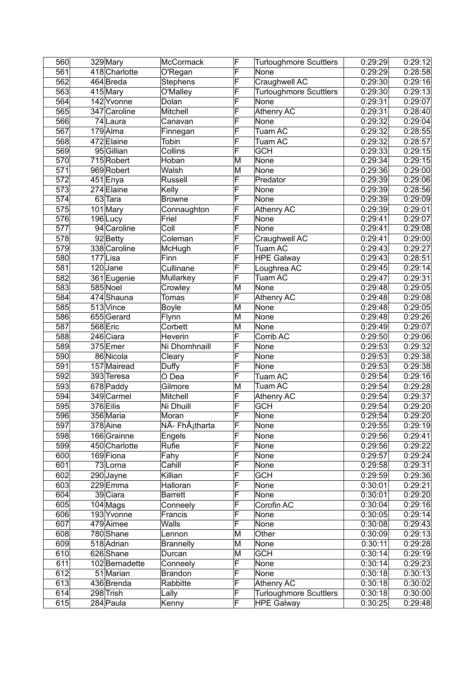| 560 | 329 Mary       | McCormack                   | F | <b>Turloughmore Scuttlers</b> | 0:29:29 | 0:29:12 |
|-----|----------------|-----------------------------|---|-------------------------------|---------|---------|
| 561 | 418 Charlotte  | O'Regan                     | F | None                          | 0:29:29 | 0:28:58 |
| 562 | 464 Breda      | <b>Stephens</b>             | F | Craughwell AC                 | 0:29:30 | 0:29:16 |
| 563 | 415 Mary       | O'Malley                    | F | <b>Turloughmore Scuttlers</b> | 0:29:30 | 0:29:13 |
| 564 | 142 Yvonne     | Dolan                       | F | None                          | 0:29:31 | 0:29:07 |
| 565 | 347 Caroline   | Mitchell                    | F | <b>Athenry AC</b>             | 0:29:31 | 0:28:40 |
| 566 | 74 Laura       | Canavan                     | F | None                          | 0:29:32 | 0:29:04 |
| 567 | $179$ Alma     | Finnegan                    | F | Tuam AC                       | 0:29:32 | 0:28:55 |
| 568 | 472 Elaine     | Tobin                       | F | Tuam AC                       | 0:29:32 | 0:28:57 |
| 569 | 95 Gillian     | Collins                     | F | <b>GCH</b>                    | 0:29:33 | 0:29:15 |
| 570 | 715 Robert     | Hoban                       | M | None                          | 0:29:34 | 0:29:15 |
| 571 | 969 Robert     | Walsh                       | M | None                          | 0:29:36 | 0:29:00 |
| 572 | $451$ Enya     | <b>Russell</b>              | F | Predator                      | 0:29:39 | 0:29:06 |
| 573 | 274 Elaine     | Kelly                       | F | None                          | 0:29:39 | 0:28:56 |
| 574 | $63$ Tara      | <b>Browne</b>               | F | None                          | 0:29:39 | 0:29:09 |
| 575 | 101 Mary       | Connaughton                 | F | <b>Athenry AC</b>             | 0:29:39 | 0:29:01 |
| 576 | 196Lucy        | Friel                       | F | None                          | 0:29:41 | 0:29:07 |
| 577 | 94 Caroline    | Coll                        | F | None                          | 0:29:41 | 0:29:08 |
| 578 | 92Betty        | Coleman                     | F | Craughwell AC                 | 0:29:41 | 0:29:00 |
| 579 | 338 Caroline   | McHugh                      | F | Tuam AC                       | 0:29:43 | 0:29:27 |
| 580 | 177Lisa        | Finn                        | F | <b>HPE Galway</b>             | 0:29:43 | 0:28:51 |
| 581 | $120$ Jane     | Cullinane                   | F | Loughrea AC                   | 0:29:45 | 0:29:14 |
| 582 | 361 Eugenie    | Mullarkey                   | F | Tuam AC                       | 0:29:47 | 0:29:31 |
| 583 | 585 Noel       | Crowley                     | M | None                          | 0:29:48 | 0:29:05 |
| 584 | 474 Shauna     | Tomas                       | F | <b>Athenry AC</b>             | 0:29:48 | 0:29:08 |
| 585 | 513 Vince      | <b>Boyle</b>                | M | None                          | 0:29:48 | 0:29:05 |
| 586 | 655 Gerard     | Flynn                       | M | None                          | 0:29:48 | 0:29:26 |
| 587 | 568 Eric       | Corbett                     | M | None                          | 0:29:49 | 0:29:07 |
| 588 | 246 Ciara      | Heverin                     | F | Corrib AC                     | 0:29:50 | 0:29:06 |
| 589 | 375 Emer       | Ni Dhomhnaill               | F | None                          | 0:29:53 | 0:29:32 |
| 590 | 86 Nicola      | Cleary                      | F | None                          | 0:29:53 | 0:29:38 |
| 591 | 157 Mairead    | Duffy                       | F | None                          | 0:29:53 | 0:29:38 |
| 592 | 393 Teresa     | O Dea                       | F | Tuam AC                       | 0:29:54 | 0:29:16 |
| 593 | 678 Paddy      | Gilmore                     | M | Tuam AC                       | 0:29:54 | 0:29:28 |
| 594 | 349 Carmel     | Mitchell                    | F | Athenry AC                    | 0:29:54 | 0:29:37 |
| 595 | 376 Eilis      | Ni Dhuill                   | F | <b>GCH</b>                    | 0:29:54 | 0:29:20 |
| 596 | 356 Maria      | Moran                       | F | None                          | 0:29:54 | 0:29:20 |
| 597 | 378 Aine       | NÃ- FhÂ <sub>i</sub> tharta | F | None                          | 0:29:55 | 0:29:19 |
| 598 | 166 Grainne    | Engels                      | F | None                          | 0:29:56 | 0:29:41 |
| 599 | 450 Charlotte  | Rufie                       | F | None                          | 0:29:56 | 0:29:22 |
| 600 | 169 Fiona      | Fahy                        | F | None                          | 0:29:57 | 0:29:24 |
| 601 | 73 Lorna       | Cahill                      | F | None                          | 0:29:58 | 0:29:31 |
| 602 | 290 Jayne      | Killian                     | F | <b>GCH</b>                    | 0:29:59 | 0:29:36 |
| 603 | 229Emma        | Halloran                    | F | None                          | 0:30:01 | 0:29:21 |
| 604 | 39 Ciara       | <b>Barrett</b>              | F | None                          | 0:30:01 | 0:29:20 |
| 605 | $104$ Mags     | Conneely                    | F | Corofin AC                    | 0:30:04 | 0:29:16 |
| 606 | 193 Yvonne     | Francis                     | F | None                          | 0:30:05 | 0:29:14 |
| 607 | 479 Aimee      | <b>Walls</b>                | F | None                          | 0:30:08 | 0:29:43 |
| 608 | 780 Shane      | Lennon                      | M | Other                         | 0:30:09 | 0:29:13 |
| 609 | 518 Adrian     | <b>Brannelly</b>            | M | None                          | 0:30:11 | 0:29:28 |
| 610 | 626 Shane      | Durcan                      | M | <b>GCH</b>                    | 0:30:14 | 0:29:19 |
| 611 | 102 Bernadette | Conneely                    | F | None                          | 0:30:14 | 0:29:23 |
| 612 | 51 Marian      | <b>Brandon</b>              | F | None                          | 0:30:18 | 0:30:13 |
| 613 | 436 Brenda     | Rabbitte                    | F | Athenry AC                    | 0:30:18 | 0:30:02 |
| 614 | 298 Trish      | Lally                       | F | <b>Turloughmore Scuttlers</b> | 0:30:18 | 0:30:00 |
| 615 | 284 Paula      | Kenny                       | F | <b>HPE Galway</b>             | 0:30:25 | 0:29:48 |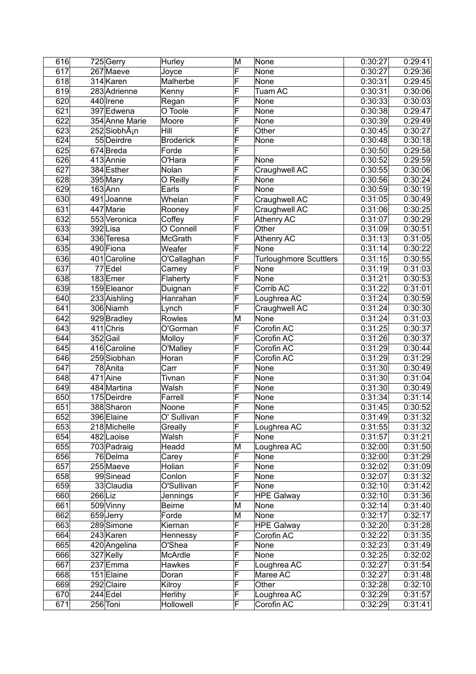| 616              |           | 725 Gerry                 | Hurley           | M                       | None                          | 0:30:27 | 0:29:41 |
|------------------|-----------|---------------------------|------------------|-------------------------|-------------------------------|---------|---------|
| $\overline{617}$ |           | 267 Maeve                 | Joyce            | F                       | None                          | 0:30:27 | 0:29:36 |
| 618              |           | 314 Karen                 | Malherbe         | F                       | None                          | 0:30:31 | 0:29:45 |
| 619              |           | 283 Adrienne              | Kenny            | F                       | Tuam AC                       | 0:30:31 | 0:30:06 |
| 620              |           | 440 Irene                 | Regan            | F                       | None                          | 0:30:33 | 0:30:03 |
| 621              |           | 397 Edwena                | O Toole          | F                       | None                          | 0:30:38 | 0:29:47 |
| $\overline{622}$ |           | 354 Anne Marie            | Moore            | F                       | None                          | 0:30:39 | 0:29:49 |
| 623              |           | 252 SiobhA <sub>i</sub> n | Hill             | F                       | Other                         | 0:30:45 | 0:30:27 |
| 624              |           | 55 Deirdre                | <b>Broderick</b> | F                       | None                          | 0:30:48 | 0:30:18 |
| 625              |           | 674Breda                  | Forde            | F                       |                               | 0:30:50 | 0:29:58 |
| 626              |           | 413 Annie                 | O'Hara           | F                       | None                          | 0:30:52 | 0:29:59 |
| 627              |           | 384 Esther                | Nolan            | F                       | Craughwell AC                 | 0:30:55 | 0:30:06 |
| 628              |           | 395 Mary                  | O Reilly         | F                       | None                          | 0:30:56 | 0:30:24 |
| 629              |           | $163$ Ann                 | Earls            | F                       | None                          | 0:30:59 | 0:30:19 |
|                  |           | 491 Joanne                | Whelan           | F                       |                               |         |         |
| 630              |           |                           |                  |                         | Craughwell AC                 | 0:31:05 | 0:30:49 |
| 631              |           | 447 Marie                 | Rooney           | F                       | Craughwell AC                 | 0:31:06 | 0:30:25 |
| 632              |           | 553 Veronica              | Coffey           | F                       | Athenry AC                    | 0:31:07 | 0:30:29 |
| 633              |           | 392Lisa                   | O Connell        | F                       | Other                         | 0:31:09 | 0:30:51 |
| 634              |           | 336 Teresa                | McGrath          | F                       | <b>Athenry AC</b>             | 0:31:13 | 0:31:05 |
| 635              |           | 490 Fiona                 | Weafer           | F                       | None                          | 0:31:14 | 0:30:22 |
| 636              |           | 401 Caroline              | O'Callaghan      | F                       | <b>Turloughmore Scuttlers</b> | 0:31:15 | 0:30:55 |
| 637              |           | 77 Edel                   | Carney           | F                       | None                          | 0:31:19 | 0:31:03 |
| 638              |           | 183 Emer                  | Flaherty         | F                       | None                          | 0:31:21 | 0:30:53 |
| 639              |           | 159 Eleanor               | Duignan          | F                       | Corrib AC                     | 0:31:22 | 0:31:01 |
| 640              |           | 233 Aishling              | Hanrahan         | F                       | Loughrea AC                   | 0:31:24 | 0:30:59 |
| 641              |           | 306 Niamh                 | Lynch            | F                       | Craughwell AC                 | 0:31:24 | 0:30:30 |
| 642              |           | 929 Bradley               | Rowles           | M                       | None                          | 0:31:24 | 0:31:03 |
| 643              |           | $411$ Chris               | O'Gorman         | F                       | Corofin AC                    | 0:31:25 | 0:30:37 |
| 644              |           | 352 Gail                  | Molloy           | F                       | Corofin AC                    | 0:31:26 | 0:30:37 |
| 645              |           | 416 Caroline              | O'Malley         | F                       | Corofin AC                    | 0:31:29 | 0:30:44 |
| 646              |           | 259 Siobhan               | Horan            | F                       | Corofin AC                    | 0:31:29 | 0:31:29 |
| 647              |           | 78 Anita                  | Carr             | F                       | None                          | 0:31:30 | 0:30:49 |
| 648              |           | $471$ Aine                | Tivnan           | F                       | None                          | 0:31:30 | 0:31:04 |
| 649              |           | 484 Martina               | Walsh            | F                       | None                          | 0:31:30 | 0:30:49 |
| 650              |           | 175 Deirdre               | Farrell          | F                       | None                          | 0:31:34 | 0:31:14 |
| 651              |           | 388 Sharon                | Noone            | F                       | None                          | 0:31:45 | 0:30:52 |
| 652              |           | 396 Elaine                | O' Sullivan      | $\overline{\mathsf{F}}$ | <b>None</b>                   | 0:31:49 | 0:31:32 |
|                  |           |                           |                  | F                       |                               |         |         |
| 653              |           | 218 Michelle              | Greally          |                         | Loughrea AC                   | 0:31:55 | 0:31:32 |
| 654              |           | 482 Laoise                | Walsh            | F                       | None                          | 0:31:57 | 0:31:21 |
| 655              |           | 703 Padraig               | Headd            | M                       | Loughrea AC                   | 0:32:00 | 0:31:50 |
| 656              |           | 76 Delma                  | Carey            | F                       | None                          | 0:32:00 | 0:31:29 |
| $\overline{657}$ |           | 255 Maeve                 | Holian           | F                       | None                          | 0:32:02 | 0:31:09 |
| 658              |           | 99Sinead                  | Conlon           | F                       | None                          | 0:32:07 | 0:31:32 |
| 659              |           | 33 Claudia                | O'Sullivan       | F                       | None                          | 0:32:10 | 0:31:42 |
| 660              | $266$ Liz |                           | Jennings         | F                       | <b>HPE Galway</b>             | 0:32:10 | 0:31:36 |
| 661              |           | 509 Vinny                 | <b>Beirne</b>    | M                       | None                          | 0:32:14 | 0:31:40 |
| 662              |           | 659 Jerry                 | Forde            | M                       | None                          | 0:32:17 | 0:32:17 |
| 663              |           | 289 Simone                | Kiernan          | F                       | <b>HPE Galway</b>             | 0:32:20 | 0:31:28 |
| 664              |           | 243 Karen                 | Hennessy         | F                       | Corofin AC                    | 0:32:22 | 0:31:35 |
| 665              |           | 420 Angelina              | O'Shea           | F                       | None                          | 0:32:23 | 0:31:49 |
| 666              |           | 327 Kelly                 | McArdle          | F                       | None                          | 0:32:25 | 0:32:02 |
| 667              |           | 237 Emma                  | Hawkes           | F                       | Loughrea AC                   | 0:32:27 | 0:31:54 |
| 668              |           | 151 Elaine                | Doran            | F                       | Maree AC                      | 0:32:27 | 0:31:48 |
| 669              |           | 292 Claire                | Kilroy           | F                       | Other                         | 0:32:28 | 0:32:10 |
| 670              |           | $244$ Edel                | Herlihy          | F                       | Loughrea AC                   | 0:32:29 | 0:31:57 |
| 671              |           | 256 Toni                  | Hollowell        | F                       | Corofin AC                    | 0:32:29 | 0:31:41 |
|                  |           |                           |                  |                         |                               |         |         |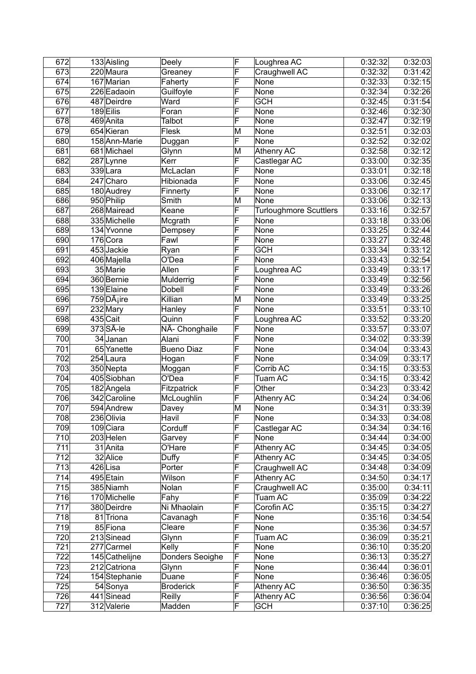| 672              | 133 Aisling            | Deely             | F | Loughrea AC                   | 0:32:32 | 0:32:03 |
|------------------|------------------------|-------------------|---|-------------------------------|---------|---------|
| 673              | 220 Maura              | Greaney           | F | Craughwell AC                 | 0:32:32 | 0:31:42 |
| 674              | 167 Marian             | Faherty           | F | None                          | 0:32:33 | 0:32:15 |
| 675              | 226 Eadaoin            | Guilfoyle         | F | None                          | 0:32:34 | 0:32:26 |
| 676              | 487 Deirdre            | Ward              | F | <b>GCH</b>                    | 0:32:45 | 0:31:54 |
| 677              | 189 Eilis              | Foran             | F | None                          | 0:32:46 | 0:32:30 |
| 678              | 469 Anita              | Talbot            | F | None                          | 0:32:47 | 0:32:19 |
| 679              | 654 Kieran             | Flesk             | M | None                          | 0:32:51 | 0:32:03 |
| 680              | 158 Ann-Marie          | Duggan            | F | None                          | 0:32:52 | 0:32:02 |
| 681              | 681 Michael            | Glynn             | M | <b>Athenry AC</b>             | 0:32:58 | 0:32:12 |
| 682              | 287 Lynne              | Kerr              | F | Castlegar AC                  | 0:33:00 | 0:32:35 |
| 683              | 339Lara                | McLaclan          | F | None                          | 0:33:01 | 0:32:18 |
| 684              | $\overline{247}$ Charo | Hibionada         | F | None                          | 0:33:06 | 0:32:45 |
| 685              | 180 Audrey             | Finnerty          | F | None                          | 0:33:06 | 0:32:17 |
| 686              | 950 Philip             | Smith             | M | None                          | 0:33:06 | 0:32:13 |
| 687              | 268 Mairead            | Keane             | F | <b>Turloughmore Scuttlers</b> | 0:33:16 | 0:32:57 |
| 688              | 335 Michelle           |                   | F | None                          | 0:33:18 | 0:33:06 |
| 689              | 134 Yvonne             | Mcgrath           | F | None                          | 0:33:25 | 0:32:44 |
|                  |                        | Dempsey           | F |                               |         |         |
| 690              | 176 Cora               | Fawl              |   | None                          | 0:33:27 | 0:32:48 |
| 691              | 453 Jackie             | Ryan              | F | <b>GCH</b>                    | 0:33:34 | 0:33:12 |
| 692              | 406 Majella            | O'Dea             | F | None                          | 0:33:43 | 0:32:54 |
| 693              | 35 Marie               | Allen             | F | Loughrea AC                   | 0:33:49 | 0:33:17 |
| 694              | 360 Bernie             | Mulderrig         | F | None                          | 0:33:49 | 0:32:56 |
| 695              | 139 Elaine             | <b>Dobell</b>     | F | None                          | 0:33:49 | 0:33:26 |
| 696              | 759DÂ <sub>i</sub> ire | Killian           | M | None                          | 0:33:49 | 0:33:25 |
| 697              | $232$ Mary             | Hanley            | F | None                          | 0:33:51 | 0:33:10 |
| 698              | 435 Cait               | Quinn             | F | Loughrea AC                   | 0:33:52 | 0:33:20 |
| 699              | $373$ $S$ $A$ -le      | NÃ- Chonghaile    | F | None                          | 0:33:57 | 0:33:07 |
| 700              | 34 Janan               | Alani             | F | None                          | 0:34:02 | 0:33:39 |
| 701              | 65 Yanette             | <b>Bueno Diaz</b> | F | None                          | 0:34:04 | 0:33:43 |
| 702              | 254 Laura              | Hogan             | F | None                          | 0:34:09 | 0:33:17 |
| 703              | 350 Nepta              | Moggan            | F | Corrib AC                     | 0:34:15 | 0:33:53 |
| 704              | 405 Siobhan            | O'Dea             | F | Tuam AC                       | 0:34:15 | 0:33:42 |
| 705              | 182 Angela             | Fitzpatrick       | F | Other                         | 0:34:23 | 0:33:42 |
| 706              | 342 Caroline           | McLoughlin        | F | <b>Athenry AC</b>             | 0:34:24 | 0:34:06 |
| 707              | 594 Andrew             | Davey             | M | None                          | 0:34:31 | 0:33:39 |
| 708              | 236 Olivia             | Havil             | F | None                          | 0:34:33 | 0:34:08 |
| 709              | 109 Ciara              | Corduff           | F | Castlegar AC                  | 0:34:34 | 0:34:16 |
| 710              | 203 Helen              | Garvey            | F | None                          | 0:34:44 | 0:34:00 |
| 711              | 31 Anita               | O'Hare            | F | Athenry AC                    | 0:34:45 | 0:34:05 |
| 712              | 32 Alice               | Duffy             | F | Athenry AC                    | 0:34:45 | 0:34:05 |
| 713              | 426Lisa                | Porter            | F | Craughwell AC                 | 0:34:48 | 0:34:09 |
| 714              | 495 Etain              | Wilson            | F | Athenry AC                    | 0:34:50 | 0:34:17 |
| 715              | 385 Niamh              | Nolan             | F | Craughwell AC                 | 0:35:00 | 0:34:11 |
| 716              | 170 Michelle           | Fahy              | F | Tuam AC                       | 0:35:09 | 0:34:22 |
| 717              | 380 Deirdre            | Ni Mhaolain       | F | Corofin AC                    | 0:35:15 | 0:34:27 |
| 718              | 81 Triona              | Cavanagh          | F | None                          | 0:35:16 | 0:34:54 |
| 719              | 85 Fiona               | Cleare            | F | None                          | 0:35:36 | 0:34:57 |
| 720              | 213 Sinead             | Glynn             | F | Tuam AC                       | 0:36:09 | 0:35:21 |
| $\overline{721}$ | 277 Carmel             | Kelly             | F | None                          | 0:36:10 | 0:35:20 |
| 722              |                        |                   | F |                               |         |         |
|                  | 145 Cathelijne         | Donders Seoighe   | F | None                          | 0:36:13 | 0:35:27 |
| 723              | 212 Catriona           | Glynn             | F | None                          | 0:36:44 | 0:36:01 |
| 724              | 154 Stephanie          | Duane             | F | None                          | 0:36:46 | 0:36:05 |
| 725              | 54 Sonya               | <b>Broderick</b>  |   | Athenry AC                    | 0:36:50 | 0:36:35 |
| 726              | 441 Sinead             | Reilly            | F | Athenry AC                    | 0:36:56 | 0:36:04 |
| 727              | 312 Valerie            | Madden            | F | <b>GCH</b>                    | 0:37:10 | 0:36:25 |